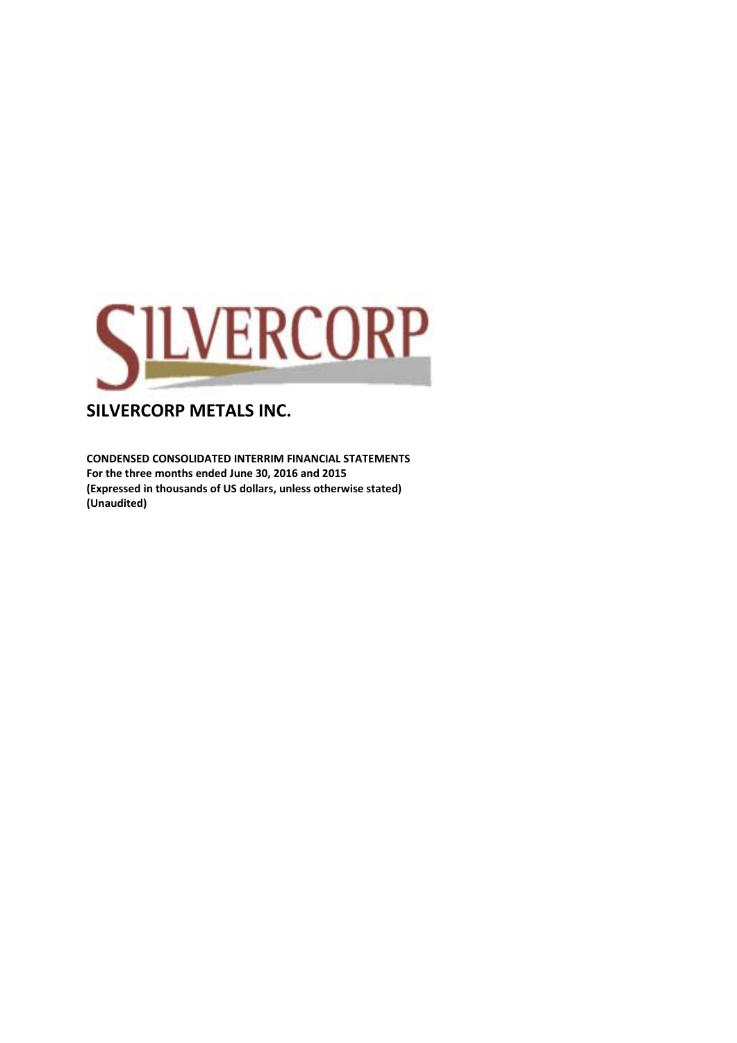

**CONDENSED CONSOLIDATED INTERRIM FINANCIAL STATEMENTS For the three months ended June 30, 2016 and 2015 (Expressed in thousands of US dollars, unless otherwise stated) (Unaudited)**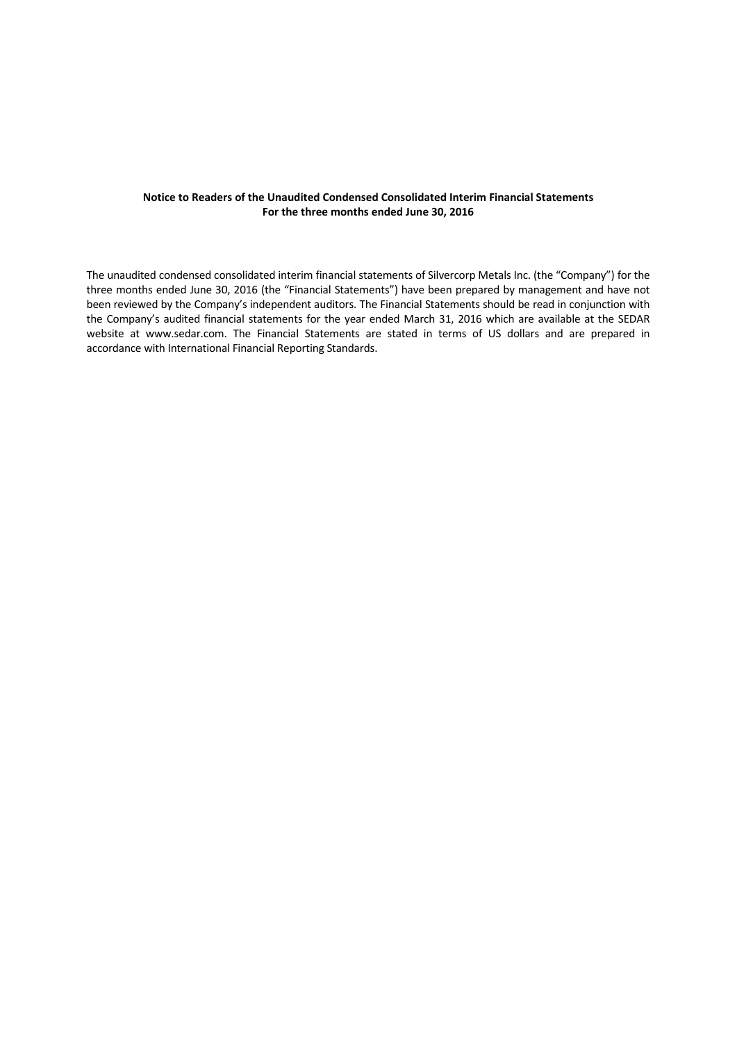#### **Notice to Readers of the Unaudited Condensed Consolidated Interim Financial Statements For the three months ended June 30, 2016**

The unaudited condensed consolidated interim financial statements of Silvercorp Metals Inc. (the "Company") for the three months ended June 30, 2016 (the "Financial Statements") have been prepared by management and have not been reviewed by the Company's independent auditors. The Financial Statements should be read in conjunction with the Company's audited financial statements for the year ended March 31, 2016 which are available at the SEDAR website at www.sedar.com. The Financial Statements are stated in terms of US dollars and are prepared in accordance with International Financial Reporting Standards.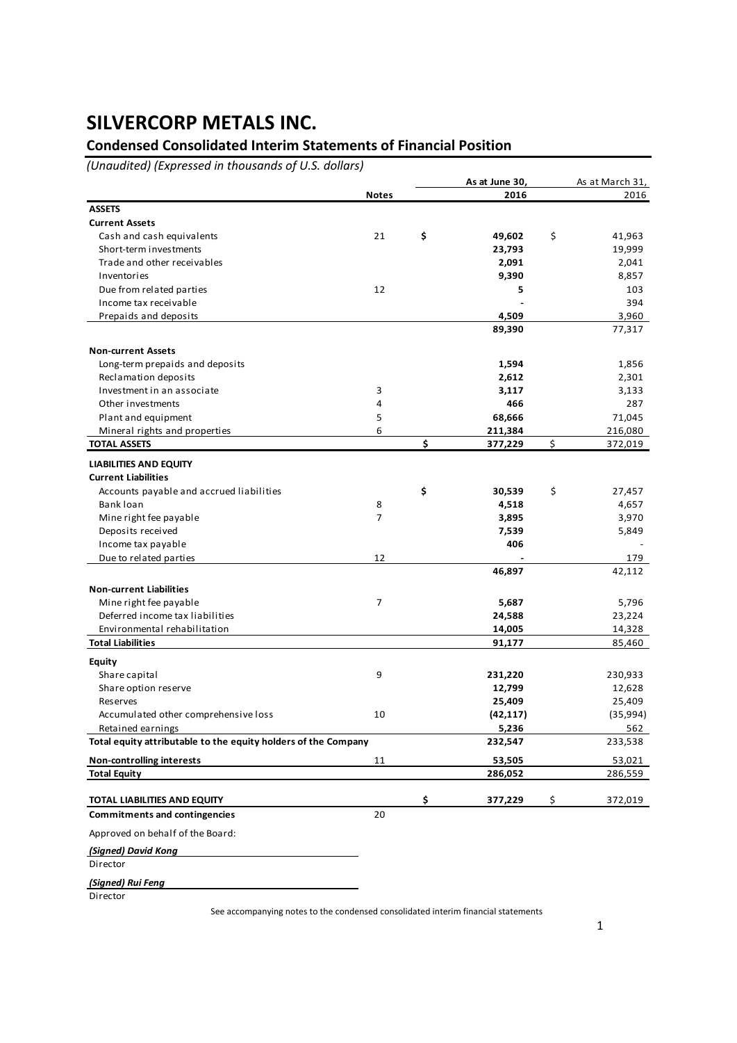### **Condensed Consolidated Interim Statements of Financial Position**

*(Unaudited) (Expressed in thousands of U.S. dollars)*

|                                                                 |              | As at June 30,   | As at March 31,  |
|-----------------------------------------------------------------|--------------|------------------|------------------|
|                                                                 | <b>Notes</b> | 2016             | 2016             |
| <b>ASSETS</b>                                                   |              |                  |                  |
| <b>Current Assets</b>                                           |              |                  |                  |
| Cash and cash equivalents                                       | 21           | \$<br>49,602     | \$<br>41,963     |
| Short-term investments                                          |              | 23,793           | 19,999           |
| Trade and other receivables                                     |              | 2,091            | 2,041            |
| Inventories                                                     |              | 9,390            | 8,857            |
| Due from related parties                                        | 12           | 5                | 103              |
| Income tax receivable                                           |              |                  | 394              |
| Prepaids and deposits                                           |              | 4,509            | 3,960            |
|                                                                 |              | 89,390           | 77,317           |
|                                                                 |              |                  |                  |
| <b>Non-current Assets</b>                                       |              |                  |                  |
| Long-term prepaids and deposits                                 |              | 1,594            | 1,856            |
| Reclamation deposits                                            |              | 2,612            | 2,301            |
| Investment in an associate                                      | 3            | 3,117            | 3,133            |
| Other investments                                               | 4            | 466              | 287              |
| Plant and equipment                                             | 5            | 68,666           | 71,045           |
| Mineral rights and properties                                   | 6            | 211,384          | 216,080          |
| <b>TOTAL ASSETS</b>                                             |              | \$<br>377,229    | \$<br>372,019    |
| <b>LIABILITIES AND EQUITY</b>                                   |              |                  |                  |
| <b>Current Liabilities</b>                                      |              |                  |                  |
| Accounts payable and accrued liabilities                        |              | \$<br>30,539     | \$<br>27,457     |
| Bank loan                                                       | 8            | 4,518            | 4,657            |
| Mine right fee payable                                          | 7            | 3,895            | 3,970            |
| Deposits received                                               |              | 7,539            | 5,849            |
| Income tax payable                                              |              | 406              |                  |
| Due to related parties                                          | 12           |                  | 179              |
|                                                                 |              | 46,897           | 42,112           |
| <b>Non-current Liabilities</b>                                  |              |                  |                  |
| Mine right fee payable                                          | 7            | 5,687            | 5,796            |
|                                                                 |              |                  |                  |
| Deferred income tax liabilities<br>Environmental rehabilitation |              | 24,588<br>14,005 | 23,224<br>14,328 |
| <b>Total Liabilities</b>                                        |              | 91,177           | 85,460           |
|                                                                 |              |                  |                  |
| Equity                                                          |              |                  |                  |
| Share capital                                                   | 9            | 231,220          | 230,933          |
| Share option reserve                                            |              | 12,799           | 12,628           |
| Reserves                                                        |              | 25,409           | 25,409           |
| Accumulated other comprehensive loss                            | 10           | (42, 117)        | (35,994)         |
| Retained earnings                                               |              | 5,236            | 562              |
| Total equity attributable to the equity holders of the Company  |              | 232,547          | 233,538          |
| <b>Non-controlling interests</b>                                | 11           | 53,505           | 53,021           |
| <b>Total Equity</b>                                             |              | 286,052          | 286,559          |
|                                                                 |              |                  |                  |
| <b>TOTAL LIABILITIES AND EQUITY</b>                             |              | \$<br>377,229    | \$<br>372,019    |
| <b>Commitments and contingencies</b>                            | 20           |                  |                  |
| Approved on behalf of the Board:                                |              |                  |                  |
| (Signed) David Kong                                             |              |                  |                  |
| Director                                                        |              |                  |                  |
|                                                                 |              |                  |                  |
| (Signed) Rui Feng                                               |              |                  |                  |
| Director                                                        |              |                  |                  |

See accompanying notes to the condensed consolidated interim financial statements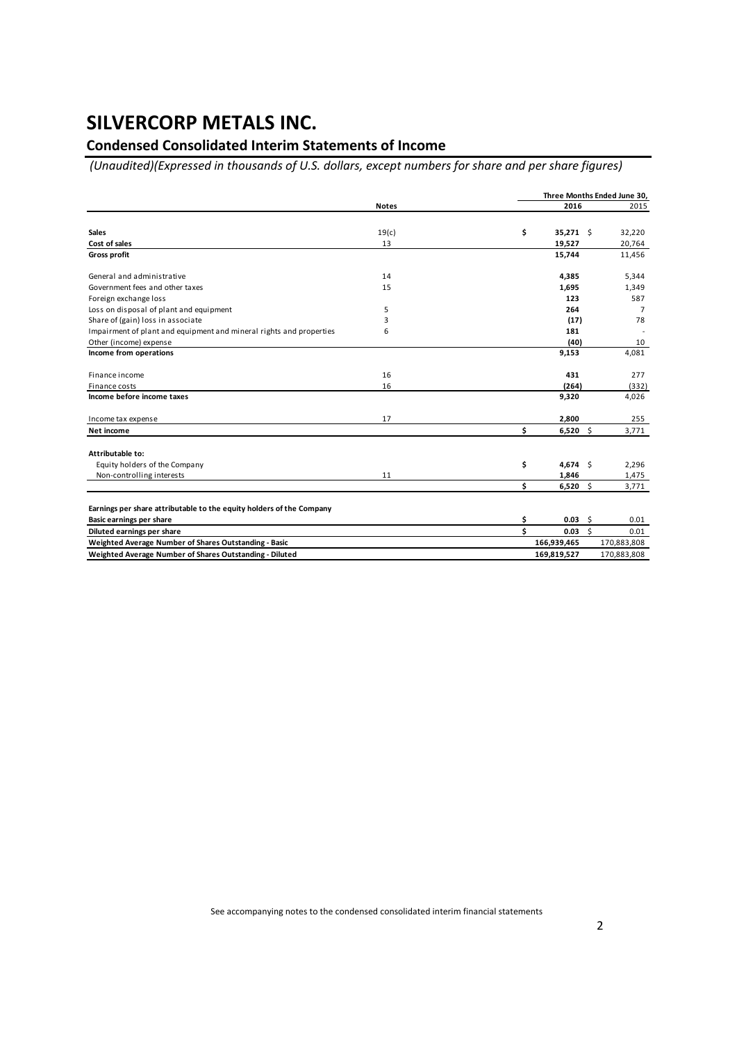### **Condensed Consolidated Interim Statements of Income**

*(Unaudited)(Expressed in thousands of U.S. dollars, except numbers for share and per share figures)*

|                                                                      |              |    |                       | Three Months Ended June 30, |  |  |  |
|----------------------------------------------------------------------|--------------|----|-----------------------|-----------------------------|--|--|--|
|                                                                      | <b>Notes</b> |    | 2016                  | 2015                        |  |  |  |
|                                                                      |              |    |                       |                             |  |  |  |
| <b>Sales</b>                                                         | 19(c)        | \$ | 35,271 \$             | 32,220                      |  |  |  |
| Cost of sales                                                        | 13           |    | 19,527                | 20,764                      |  |  |  |
| <b>Gross profit</b>                                                  |              |    | 15,744                | 11,456                      |  |  |  |
| General and administrative                                           | 14           |    | 4,385                 | 5,344                       |  |  |  |
| Government fees and other taxes                                      | 15           |    | 1,695                 | 1,349                       |  |  |  |
| Foreign exchange loss                                                |              |    | 123                   | 587                         |  |  |  |
| Loss on disposal of plant and equipment                              | 5            |    | 264                   | $\overline{7}$              |  |  |  |
| Share of (gain) loss in associate                                    | 3            |    | (17)                  | 78                          |  |  |  |
| Impairment of plant and equipment and mineral rights and properties  | 6            |    | 181                   |                             |  |  |  |
| Other (income) expense                                               |              |    | (40)                  | 10                          |  |  |  |
| Income from operations                                               |              |    | 9,153                 | 4,081                       |  |  |  |
| Finance income                                                       | 16           |    | 431                   | 277                         |  |  |  |
| Finance costs                                                        | 16           |    | (264)                 | (332)                       |  |  |  |
| Income before income taxes                                           |              |    | 9,320                 | 4,026                       |  |  |  |
| Income tax expense                                                   | 17           |    | 2,800                 | 255                         |  |  |  |
| Net income                                                           |              | \$ | $6,520$ \$            | 3,771                       |  |  |  |
| Attributable to:                                                     |              |    |                       |                             |  |  |  |
| Equity holders of the Company                                        |              | \$ | 4,674 \$              | 2,296                       |  |  |  |
| Non-controlling interests                                            | 11           |    | 1,846                 | 1,475                       |  |  |  |
|                                                                      |              | \$ | $6,520$ \$            | 3,771                       |  |  |  |
| Earnings per share attributable to the equity holders of the Company |              |    |                       |                             |  |  |  |
| Basic earnings per share                                             |              | \$ | 0.03<br>Ŝ.            | 0.01                        |  |  |  |
| Diluted earnings per share                                           |              | \$ | $0.03 \quad \text{S}$ | 0.01                        |  |  |  |
| Weighted Average Number of Shares Outstanding - Basic                |              |    | 166,939,465           | 170,883,808                 |  |  |  |
| Weighted Average Number of Shares Outstanding - Diluted              |              |    | 169,819,527           | 170,883,808                 |  |  |  |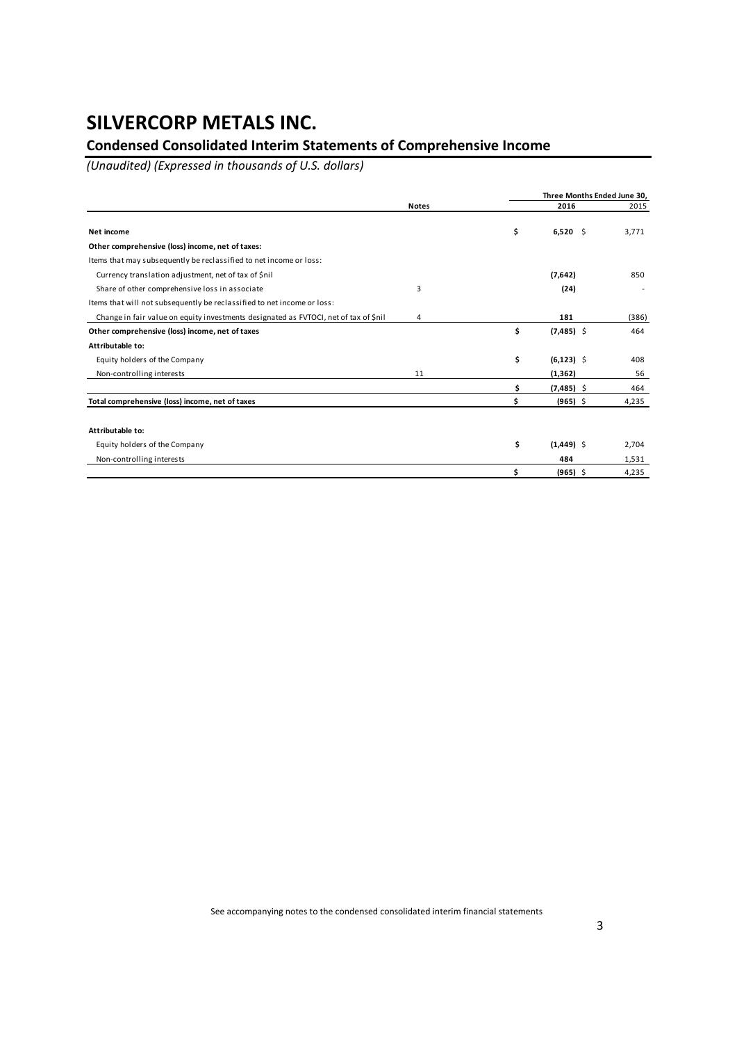### **Condensed Consolidated Interim Statements of Comprehensive Income**

*(Unaudited) (Expressed in thousands of U.S. dollars)*

|                                                                                      |              |    | Three Months Ended June 30, |       |  |  |  |  |
|--------------------------------------------------------------------------------------|--------------|----|-----------------------------|-------|--|--|--|--|
|                                                                                      | <b>Notes</b> |    | 2016                        | 2015  |  |  |  |  |
| Net income                                                                           |              | \$ | $6,520$ \$                  | 3.771 |  |  |  |  |
| Other comprehensive (loss) income, net of taxes:                                     |              |    |                             |       |  |  |  |  |
| Items that may subsequently be reclassified to net income or loss:                   |              |    |                             |       |  |  |  |  |
| Currency translation adjustment, net of tax of \$nil                                 |              |    | (7,642)                     | 850   |  |  |  |  |
| Share of other comprehensive loss in associate                                       | 3            |    | (24)                        |       |  |  |  |  |
| Items that will not subsequently be reclassified to net income or loss:              |              |    |                             |       |  |  |  |  |
| Change in fair value on equity investments designated as FVTOCI, net of tax of \$nil | 4            |    | 181                         | (386) |  |  |  |  |
| Other comprehensive (loss) income, net of taxes                                      |              | \$ | $(7,485)$ \$                | 464   |  |  |  |  |
| Attributable to:                                                                     |              |    |                             |       |  |  |  |  |
| Equity holders of the Company                                                        |              | \$ | $(6, 123)$ \$               | 408   |  |  |  |  |
| Non-controlling interests                                                            | 11           |    | (1, 362)                    | 56    |  |  |  |  |
|                                                                                      |              |    | $(7,485)$ \$                | 464   |  |  |  |  |
| Total comprehensive (loss) income, net of taxes                                      |              | Ś  | $(965)$ \$                  | 4,235 |  |  |  |  |
| Attributable to:                                                                     |              |    |                             |       |  |  |  |  |
| Equity holders of the Company                                                        |              | \$ | $(1,449)$ \$                | 2,704 |  |  |  |  |
|                                                                                      |              |    |                             |       |  |  |  |  |
| Non-controlling interests                                                            |              |    | 484                         | 1,531 |  |  |  |  |
|                                                                                      |              |    | $(965)$ \$                  | 4,235 |  |  |  |  |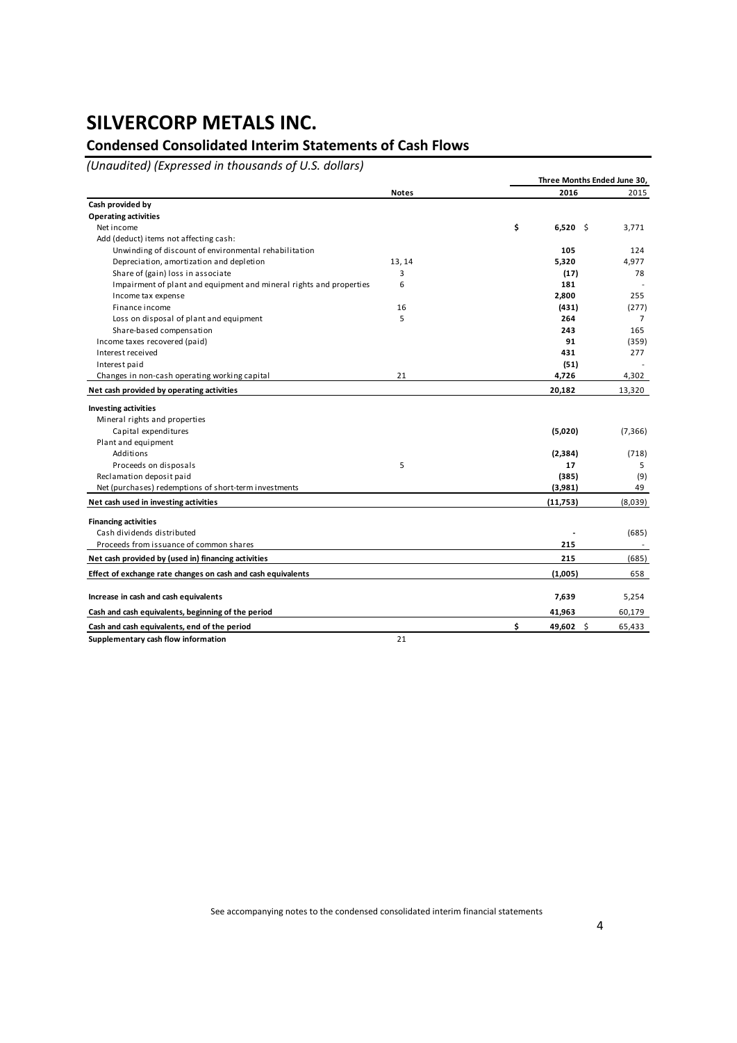### **Condensed Consolidated Interim Statements of Cash Flows**

*(Unaudited) (Expressed in thousands of U.S. dollars)*

|                                                                     |              | Three Months Ended June 30, |                |  |  |  |  |
|---------------------------------------------------------------------|--------------|-----------------------------|----------------|--|--|--|--|
|                                                                     | <b>Notes</b> | 2016                        | 2015           |  |  |  |  |
| Cash provided by                                                    |              |                             |                |  |  |  |  |
| <b>Operating activities</b>                                         |              |                             |                |  |  |  |  |
| Net income                                                          |              | \$<br>$6,520$ \$            | 3,771          |  |  |  |  |
| Add (deduct) items not affecting cash:                              |              |                             |                |  |  |  |  |
| Unwinding of discount of environmental rehabilitation               |              | 105                         | 124            |  |  |  |  |
| Depreciation, amortization and depletion                            | 13, 14       | 5,320                       | 4,977          |  |  |  |  |
| Share of (gain) loss in associate                                   | 3            | (17)                        | 78             |  |  |  |  |
| Impairment of plant and equipment and mineral rights and properties | 6            | 181                         |                |  |  |  |  |
| Income tax expense                                                  |              | 2,800                       | 255            |  |  |  |  |
| Finance income                                                      | 16           | (431)                       | (277)          |  |  |  |  |
| Loss on disposal of plant and equipment                             | 5            | 264                         | $\overline{7}$ |  |  |  |  |
| Share-based compensation                                            |              | 243                         | 165            |  |  |  |  |
| Income taxes recovered (paid)                                       |              | 91                          | (359)          |  |  |  |  |
| Interest received                                                   |              | 431                         | 277            |  |  |  |  |
| Interest paid                                                       |              | (51)                        |                |  |  |  |  |
| Changes in non-cash operating working capital                       | 21           | 4,726                       | 4,302          |  |  |  |  |
| Net cash provided by operating activities                           |              | 20,182                      | 13,320         |  |  |  |  |
| <b>Investing activities</b>                                         |              |                             |                |  |  |  |  |
| Mineral rights and properties                                       |              |                             |                |  |  |  |  |
| Capital expenditures                                                |              | (5,020)                     | (7, 366)       |  |  |  |  |
| Plant and equipment                                                 |              |                             |                |  |  |  |  |
| Additions                                                           |              | (2,384)                     | (718)          |  |  |  |  |
| Proceeds on disposals                                               | 5            | 17                          | 5              |  |  |  |  |
| Reclamation deposit paid                                            |              | (385)                       | (9)            |  |  |  |  |
| Net (purchases) redemptions of short-term investments               |              | (3,981)                     | 49             |  |  |  |  |
| Net cash used in investing activities                               |              | (11,753)                    | (8,039)        |  |  |  |  |
| <b>Financing activities</b>                                         |              |                             |                |  |  |  |  |
| Cash dividends distributed                                          |              |                             | (685)          |  |  |  |  |
| Proceeds from issuance of common shares                             |              | 215                         |                |  |  |  |  |
| Net cash provided by (used in) financing activities                 |              | 215                         | (685)          |  |  |  |  |
| Effect of exchange rate changes on cash and cash equivalents        |              | (1,005)                     | 658            |  |  |  |  |
|                                                                     |              |                             |                |  |  |  |  |
| Increase in cash and cash equivalents                               |              | 7,639                       | 5,254          |  |  |  |  |
| Cash and cash equivalents, beginning of the period                  |              | 41,963                      | 60,179         |  |  |  |  |
| Cash and cash equivalents, end of the period                        |              | \$<br>49,602<br>-\$         | 65,433         |  |  |  |  |
| Supplementary cash flow information                                 | 21           |                             |                |  |  |  |  |

See accompanying notes to the condensed consolidated interim financial statements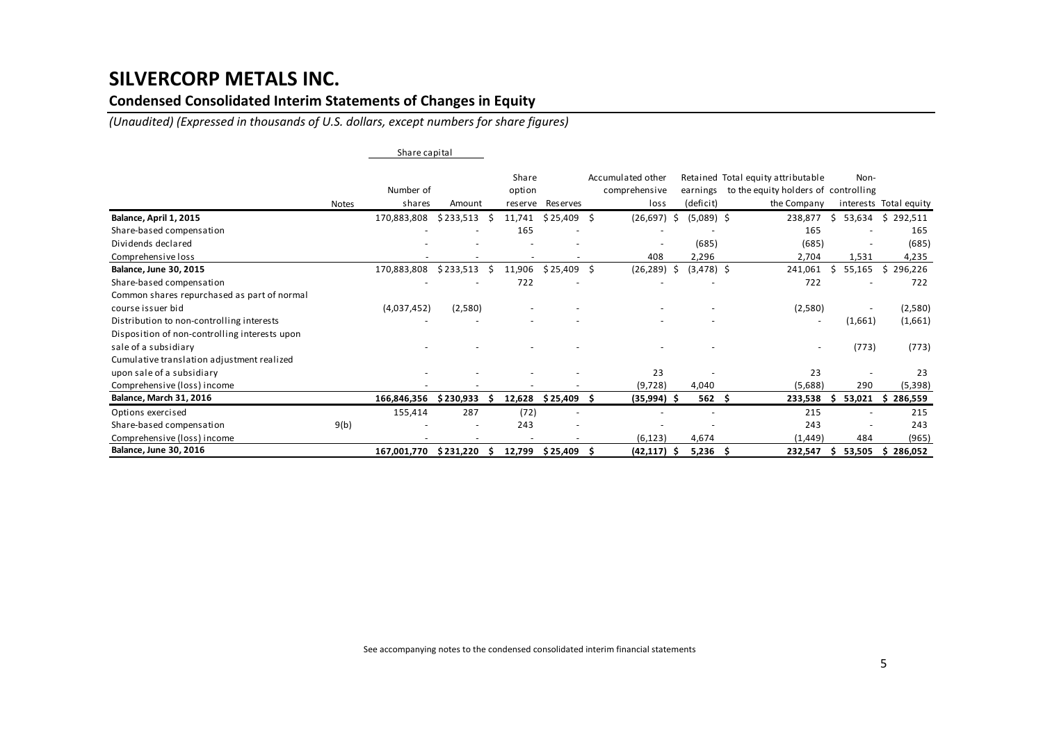### **Condensed Consolidated Interim Statements of Changes in Equity**

*(Unaudited) (Expressed in thousands of U.S. dollars, except numbers for share figures)*

|                                               |              |             | Share capital |   |                 |                          |    |                                    |    |              |    |                                                                            |    |         |                        |
|-----------------------------------------------|--------------|-------------|---------------|---|-----------------|--------------------------|----|------------------------------------|----|--------------|----|----------------------------------------------------------------------------|----|---------|------------------------|
|                                               |              | Number of   |               |   | Share<br>option |                          |    | Accumulated other<br>comprehensive |    | earnings     |    | Retained Total equity attributable<br>to the equity holders of controlling |    | Non-    |                        |
|                                               | <b>Notes</b> | shares      | Amount        |   |                 | reserve Reserves         |    | loss                               |    | (deficit)    |    | the Company                                                                |    |         | interests Total equity |
| Balance, April 1, 2015                        |              | 170,883,808 | \$233,513     | S | 11,741          | $$25,409$ \$             |    | (26, 697)                          | Ŝ. | $(5,089)$ \$ |    | 238,877                                                                    | Ŝ. | 53,634  | \$292,511              |
| Share-based compensation                      |              |             |               |   | 165             |                          |    |                                    |    |              |    | 165                                                                        |    |         | 165                    |
| Dividends declared                            |              |             |               |   |                 |                          |    |                                    |    | (685)        |    | (685)                                                                      |    |         | (685)                  |
| Comprehensive loss                            |              |             |               |   |                 |                          |    | 408                                |    | 2,296        |    | 2,704                                                                      |    | 1,531   | 4,235                  |
| Balance, June 30, 2015                        |              | 170,883,808 | \$233,513     |   | 11,906          | \$25,409                 | Ŝ. | (26, 289)                          | Ŝ. | $(3,478)$ \$ |    | 241,061                                                                    | Ŝ. | 55,165  | \$296,226              |
| Share-based compensation                      |              |             |               |   | 722             |                          |    |                                    |    |              |    | 722                                                                        |    |         | 722                    |
| Common shares repurchased as part of normal   |              |             |               |   |                 |                          |    |                                    |    |              |    |                                                                            |    |         |                        |
| course issuer bid                             |              | (4,037,452) | (2,580)       |   |                 |                          |    |                                    |    |              |    | (2,580)                                                                    |    |         | (2,580)                |
| Distribution to non-controlling interests     |              |             |               |   |                 |                          |    |                                    |    |              |    | $\overline{\phantom{a}}$                                                   |    | (1,661) | (1,661)                |
| Disposition of non-controlling interests upon |              |             |               |   |                 |                          |    |                                    |    |              |    |                                                                            |    |         |                        |
| sale of a subsidiary                          |              |             |               |   |                 |                          |    |                                    |    |              |    | $\overline{\phantom{a}}$                                                   |    | (773)   | (773)                  |
| Cumulative translation adjustment realized    |              |             |               |   |                 |                          |    |                                    |    |              |    |                                                                            |    |         |                        |
| upon sale of a subsidiary                     |              |             |               |   |                 |                          |    | 23                                 |    |              |    | 23                                                                         |    |         | 23                     |
| Comprehensive (loss) income                   |              |             |               |   |                 |                          |    | (9, 728)                           |    | 4,040        |    | (5,688)                                                                    |    | 290     | (5,398)                |
| <b>Balance, March 31, 2016</b>                |              | 166,846,356 | \$230,933     |   | 12,628          | \$25,409                 |    | $(35,994)$ \$                      |    | 562          | -S | 233,538                                                                    |    | 53,021  | 286,559<br>S.          |
| Options exercised                             |              | 155,414     | 287           |   | (72)            | $\blacksquare$           |    |                                    |    |              |    | 215                                                                        |    |         | 215                    |
| Share-based compensation                      | 9(b)         |             |               |   | 243             | $\overline{\phantom{a}}$ |    |                                    |    |              |    | 243                                                                        |    |         | 243                    |
| Comprehensive (loss) income                   |              |             |               |   |                 |                          |    | (6, 123)                           |    | 4,674        |    | (1, 449)                                                                   |    | 484     | (965)                  |
| Balance, June 30, 2016                        |              | 167,001,770 | \$231,220     |   | 12,799          | \$25,409\$               |    | $(42, 117)$ \$                     |    | $5,236$ \$   |    | 232,547                                                                    | s. | 53,505  | \$286,052              |

See accompanying notes to the condensed consolidated interim financial statements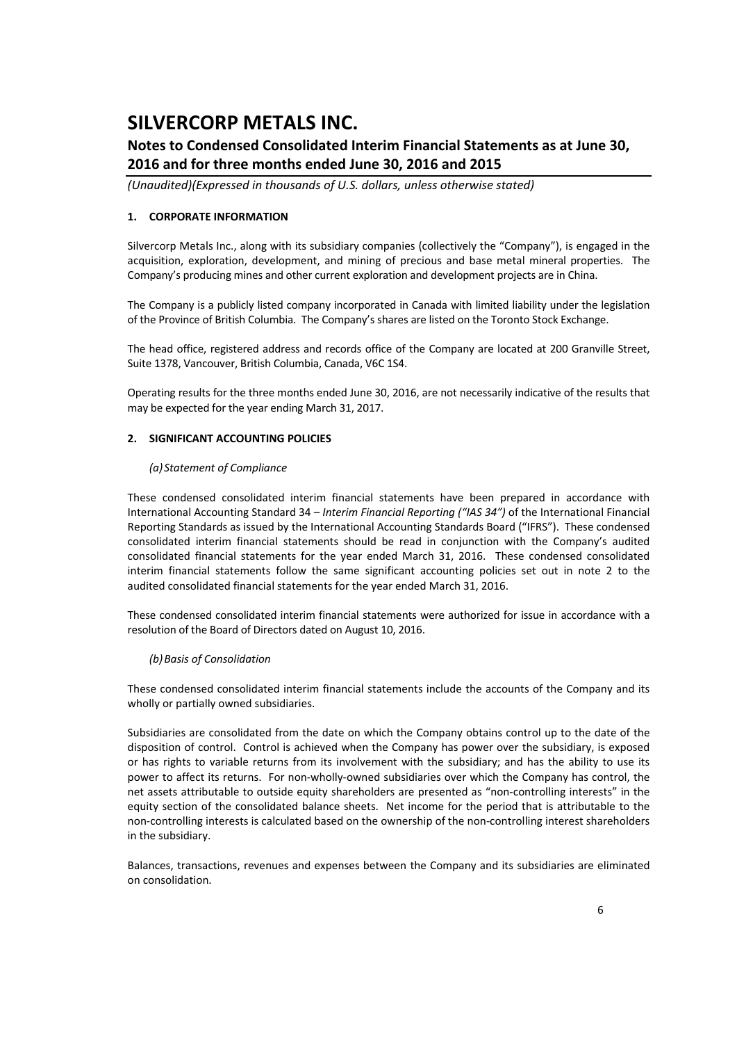### **Notes to Condensed Consolidated Interim Financial Statements as at June 30, 2016 and for three months ended June 30, 2016 and 2015**

*(Unaudited)(Expressed in thousands of U.S. dollars, unless otherwise stated)*

#### **1. CORPORATE INFORMATION**

Silvercorp Metals Inc., along with its subsidiary companies (collectively the "Company"), is engaged in the acquisition, exploration, development, and mining of precious and base metal mineral properties. The Company's producing mines and other current exploration and development projects are in China.

The Company is a publicly listed company incorporated in Canada with limited liability under the legislation of the Province of British Columbia. The Company's shares are listed on the Toronto Stock Exchange.

The head office, registered address and records office of the Company are located at 200 Granville Street, Suite 1378, Vancouver, British Columbia, Canada, V6C 1S4.

Operating results for the three months ended June 30, 2016, are not necessarily indicative of the results that may be expected for the year ending March 31, 2017.

#### **2. SIGNIFICANT ACCOUNTING POLICIES**

#### *(a) Statement of Compliance*

These condensed consolidated interim financial statements have been prepared in accordance with International Accounting Standard 34 – *Interim Financial Reporting ("IAS 34")* of the International Financial Reporting Standards as issued by the International Accounting Standards Board ("IFRS"). These condensed consolidated interim financial statements should be read in conjunction with the Company's audited consolidated financial statements for the year ended March 31, 2016. These condensed consolidated interim financial statements follow the same significant accounting policies set out in note 2 to the audited consolidated financial statements for the year ended March 31, 2016.

These condensed consolidated interim financial statements were authorized for issue in accordance with a resolution of the Board of Directors dated on August 10, 2016.

#### *(b)Basis of Consolidation*

These condensed consolidated interim financial statements include the accounts of the Company and its wholly or partially owned subsidiaries.

Subsidiaries are consolidated from the date on which the Company obtains control up to the date of the disposition of control. Control is achieved when the Company has power over the subsidiary, is exposed or has rights to variable returns from its involvement with the subsidiary; and has the ability to use its power to affect its returns. For non-wholly-owned subsidiaries over which the Company has control, the net assets attributable to outside equity shareholders are presented as "non-controlling interests" in the equity section of the consolidated balance sheets. Net income for the period that is attributable to the non-controlling interests is calculated based on the ownership of the non-controlling interest shareholders in the subsidiary.

Balances, transactions, revenues and expenses between the Company and its subsidiaries are eliminated on consolidation.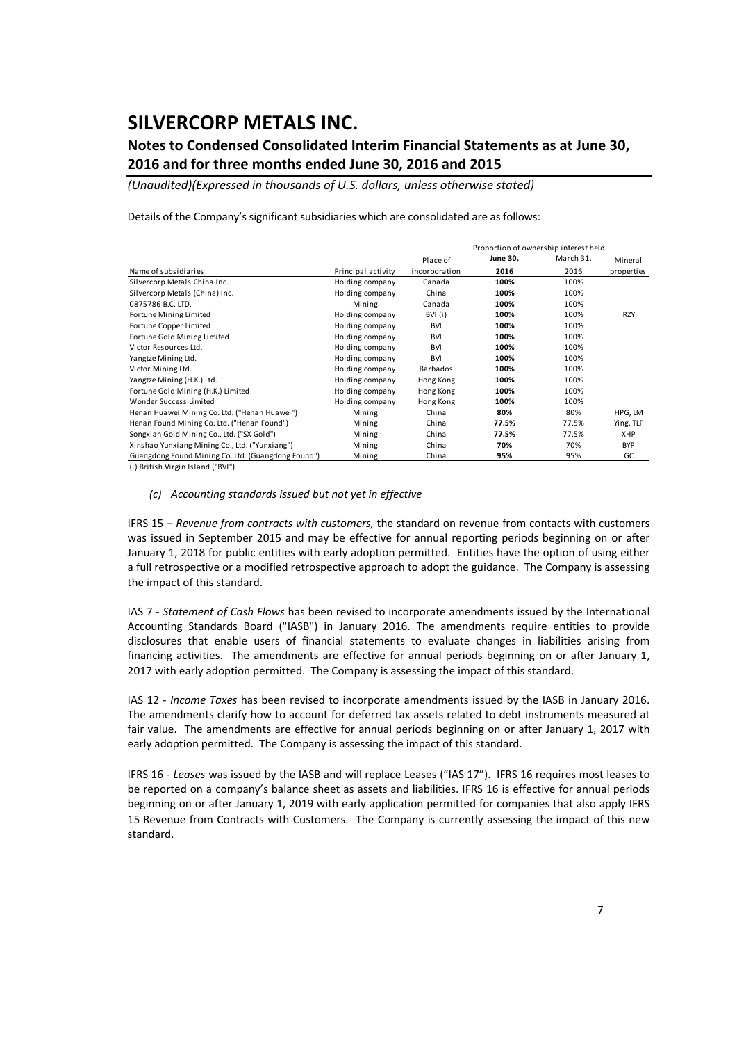### **Notes to Condensed Consolidated Interim Financial Statements as at June 30, 2016 and for three months ended June 30, 2016 and 2015**

*(Unaudited)(Expressed in thousands of U.S. dollars, unless otherwise stated)*

Details of the Company's significant subsidiaries which are consolidated are as follows:

|                                                    |                    |               | Proportion of ownership interest held |           |            |  |  |
|----------------------------------------------------|--------------------|---------------|---------------------------------------|-----------|------------|--|--|
|                                                    |                    | Place of      | June 30,                              | March 31, | Mineral    |  |  |
| Name of subsidiaries                               | Principal activity | incorporation | 2016                                  | 2016      | properties |  |  |
| Silvercorp Metals China Inc.                       | Holding company    | Canada        | 100%                                  | 100%      |            |  |  |
| Silvercorp Metals (China) Inc.                     | Holding company    | China         | 100%                                  | 100%      |            |  |  |
| 0875786 B.C. LTD.                                  | Mining             | Canada        | 100%                                  | 100%      |            |  |  |
| Fortune Mining Limited                             | Holding company    | BVI (i)       | 100%                                  | 100%      | <b>RZY</b> |  |  |
| Fortune Copper Limited                             | Holding company    | <b>BVI</b>    | 100%                                  | 100%      |            |  |  |
| Fortune Gold Mining Limited                        | Holding company    | <b>BVI</b>    | 100%                                  | 100%      |            |  |  |
| Victor Resources Ltd.                              | Holding company    | <b>BVI</b>    | 100%                                  | 100%      |            |  |  |
| Yangtze Mining Ltd.                                | Holding company    | <b>BVI</b>    | 100%                                  | 100%      |            |  |  |
| Victor Mining Ltd.                                 | Holding company    | Barbados      | 100%                                  | 100%      |            |  |  |
| Yangtze Mining (H.K.) Ltd.                         | Holding company    | Hong Kong     | 100%                                  | 100%      |            |  |  |
| Fortune Gold Mining (H.K.) Limited                 | Holding company    | Hong Kong     | 100%                                  | 100%      |            |  |  |
| Wonder Success Limited                             | Holding company    | Hong Kong     | 100%                                  | 100%      |            |  |  |
| Henan Huawei Mining Co. Ltd. ("Henan Huawei")      | Mining             | China         | 80%                                   | 80%       | HPG, LM    |  |  |
| Henan Found Mining Co. Ltd. ("Henan Found")        | Mining             | China         | 77.5%                                 | 77.5%     | Ying, TLP  |  |  |
| Songxian Gold Mining Co., Ltd. ("SX Gold")         | Mining             | China         | 77.5%                                 | 77.5%     | <b>XHP</b> |  |  |
| Xinshao Yunxiang Mining Co., Ltd. ("Yunxiang")     | Mining             | China         | 70%                                   | 70%       | <b>BYP</b> |  |  |
| Guangdong Found Mining Co. Ltd. (Guangdong Found") | Mining             | China         | 95%                                   | 95%       | GC         |  |  |

(i ) British Virgin Island ("BVI")

#### *(c) Accounting standards issued but not yet in effective*

IFRS 15 – *Revenue from contracts with customers,* the standard on revenue from contacts with customers was issued in September 2015 and may be effective for annual reporting periods beginning on or after January 1, 2018 for public entities with early adoption permitted. Entities have the option of using either a full retrospective or a modified retrospective approach to adopt the guidance. The Company is assessing the impact of this standard.

IAS 7 ‐ *Statement of Cash Flows* has been revised to incorporate amendments issued by the International Accounting Standards Board ("IASB") in January 2016. The amendments require entities to provide disclosures that enable users of financial statements to evaluate changes in liabilities arising from financing activities. The amendments are effective for annual periods beginning on or after January 1, 2017 with early adoption permitted. The Company is assessing the impact of this standard.

IAS 12 ‐ *Income Taxes* has been revised to incorporate amendments issued by the IASB in January 2016. The amendments clarify how to account for deferred tax assets related to debt instruments measured at fair value. The amendments are effective for annual periods beginning on or after January 1, 2017 with early adoption permitted. The Company is assessing the impact of this standard.

IFRS 16 ‐ *Leases* was issued by the IASB and will replace Leases ("IAS 17"). IFRS 16 requires most leases to be reported on a company's balance sheet as assets and liabilities. IFRS 16 is effective for annual periods beginning on or after January 1, 2019 with early application permitted for companies that also apply IFRS 15 Revenue from Contracts with Customers. The Company is currently assessing the impact of this new standard.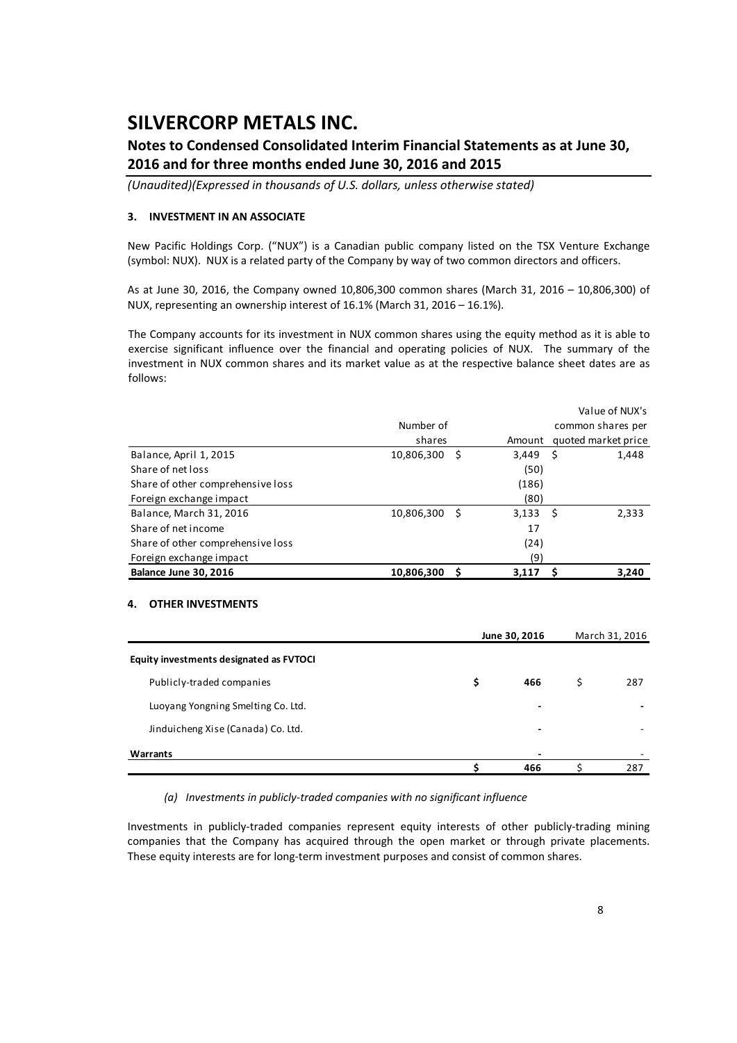### **Notes to Condensed Consolidated Interim Financial Statements as at June 30, 2016 and for three months ended June 30, 2016 and 2015**

*(Unaudited)(Expressed in thousands of U.S. dollars, unless otherwise stated)*

#### **3. INVESTMENT IN AN ASSOCIATE**

New Pacific Holdings Corp. ("NUX") is a Canadian public company listed on the TSX Venture Exchange (symbol: NUX). NUX is a related party of the Company by way of two common directors and officers.

As at June 30, 2016, the Company owned 10,806,300 common shares (March 31, 2016 – 10,806,300) of NUX, representing an ownership interest of 16.1% (March 31, 2016 – 16.1%).

The Company accounts for its investment in NUX common shares using the equity method as it is able to exercise significant influence over the financial and operating policies of NUX. The summary of the investment in NUX common shares and its market value as at the respective balance sheet dates are as follows:

|                                   |            |   |            | Value of NUX's      |
|-----------------------------------|------------|---|------------|---------------------|
|                                   | Number of  |   |            | common shares per   |
|                                   | shares     |   | Amount     | quoted market price |
| Balance, April 1, 2015            | 10,806,300 | S | $3,449$ \$ | 1,448               |
| Share of net loss                 |            |   | (50)       |                     |
| Share of other comprehensive loss |            |   | (186)      |                     |
| Foreign exchange impact           |            |   | (80)       |                     |
| Balance, March 31, 2016           | 10,806,300 | S | $3,133$ \$ | 2,333               |
| Share of net income               |            |   | 17         |                     |
| Share of other comprehensive loss |            |   | (24)       |                     |
| Foreign exchange impact           |            |   | (9)        |                     |
| <b>Balance June 30, 2016</b>      | 10,806,300 |   | 3,117      | 3,240               |

#### **4. OTHER INVESTMENTS**

|                                         | June 30, 2016 |   |     |  |  |
|-----------------------------------------|---------------|---|-----|--|--|
| Equity investments designated as FVTOCI |               |   |     |  |  |
| Publicly-traded companies               | \$<br>466     | S | 287 |  |  |
| Luoyang Yongning Smelting Co. Ltd.      | -             |   |     |  |  |
| Jinduicheng Xise (Canada) Co. Ltd.      | ٠             |   |     |  |  |
| Warrants                                | -             |   |     |  |  |
|                                         | 466           |   | 287 |  |  |

*(a) Investments in publicly‐traded companies with no significant influence*

Investments in publicly‐traded companies represent equity interests of other publicly‐trading mining companies that the Company has acquired through the open market or through private placements. These equity interests are for long‐term investment purposes and consist of common shares.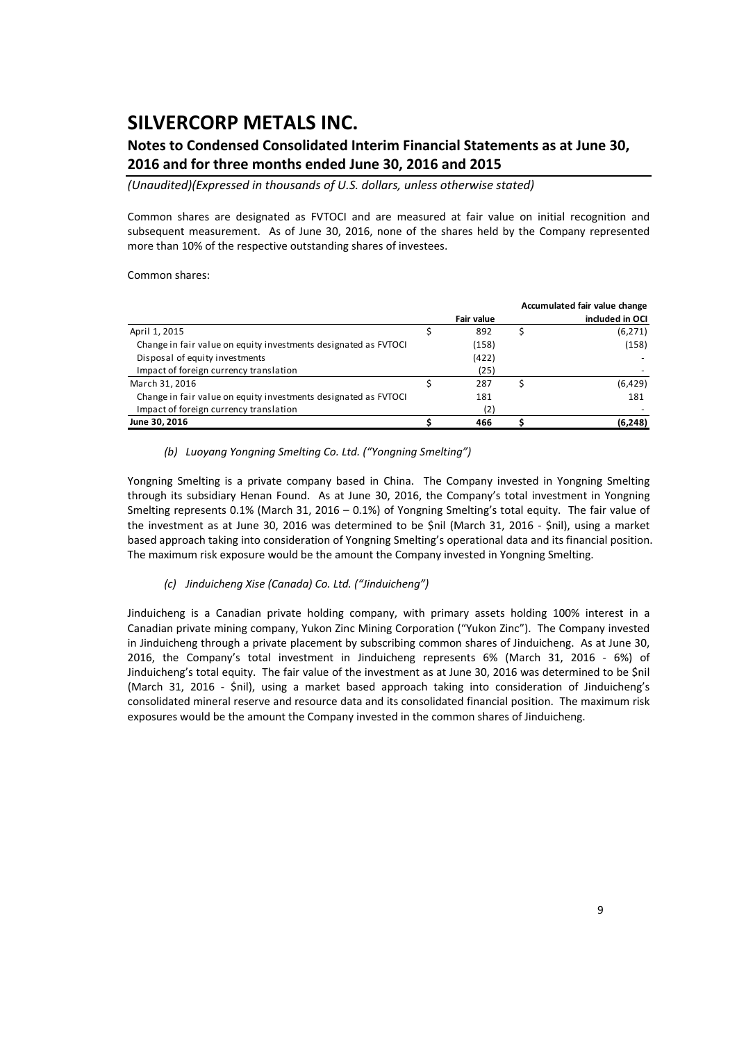### **Notes to Condensed Consolidated Interim Financial Statements as at June 30, 2016 and for three months ended June 30, 2016 and 2015**

*(Unaudited)(Expressed in thousands of U.S. dollars, unless otherwise stated)*

Common shares are designated as FVTOCI and are measured at fair value on initial recognition and subsequent measurement. As of June 30, 2016, none of the shares held by the Company represented more than 10% of the respective outstanding shares of investees.

Common shares:

|                                                                 |            | Accumulated fair value change |
|-----------------------------------------------------------------|------------|-------------------------------|
|                                                                 | Fair value | included in OCI               |
| April 1, 2015                                                   | 892        | (6, 271)                      |
| Change in fair value on equity investments designated as FVTOCI | (158)      | (158)                         |
| Disposal of equity investments                                  | (422)      |                               |
| Impact of foreign currency translation                          | (25)       |                               |
| March 31, 2016                                                  | 287        | (6,429)                       |
| Change in fair value on equity investments designated as FVTOCI | 181        | 181                           |
| Impact of foreign currency translation                          | (2)        |                               |
| June 30, 2016                                                   | 466        | (6, 248)                      |

*(b) Luoyang Yongning Smelting Co. Ltd. ("Yongning Smelting")* 

Yongning Smelting is a private company based in China. The Company invested in Yongning Smelting through its subsidiary Henan Found. As at June 30, 2016, the Company's total investment in Yongning Smelting represents 0.1% (March 31, 2016 – 0.1%) of Yongning Smelting's total equity. The fair value of the investment as at June 30, 2016 was determined to be \$nil (March 31, 2016 ‐ \$nil), using a market based approach taking into consideration of Yongning Smelting's operational data and its financial position. The maximum risk exposure would be the amount the Company invested in Yongning Smelting.

#### *(c) Jinduicheng Xise (Canada) Co. Ltd. ("Jinduicheng")*

Jinduicheng is a Canadian private holding company, with primary assets holding 100% interest in a Canadian private mining company, Yukon Zinc Mining Corporation ("Yukon Zinc"). The Company invested in Jinduicheng through a private placement by subscribing common shares of Jinduicheng. As at June 30, 2016, the Company's total investment in Jinduicheng represents 6% (March 31, 2016 ‐ 6%) of Jinduicheng's total equity. The fair value of the investment as at June 30, 2016 was determined to be \$nil (March 31, 2016 - \$nil), using a market based approach taking into consideration of Jinduicheng's consolidated mineral reserve and resource data and its consolidated financial position. The maximum risk exposures would be the amount the Company invested in the common shares of Jinduicheng.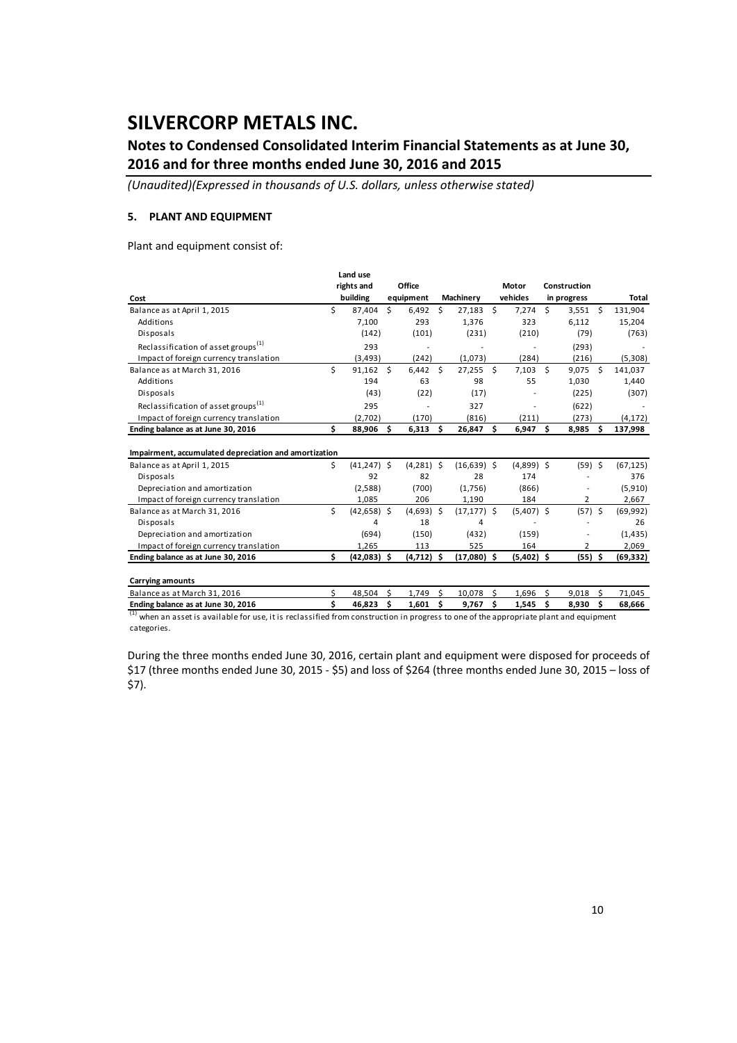### **Notes to Condensed Consolidated Interim Financial Statements as at June 30, 2016 and for three months ended June 30, 2016 and 2015**

*(Unaudited)(Expressed in thousands of U.S. dollars, unless otherwise stated)*

#### **5. PLANT AND EQUIPMENT**

Plant and equipment consist of:

|     |                                                                  |                                    |                                                         |                     |                                                                   |           | Motor  |                                                                     |                                                            |                             |
|-----|------------------------------------------------------------------|------------------------------------|---------------------------------------------------------|---------------------|-------------------------------------------------------------------|-----------|--------|---------------------------------------------------------------------|------------------------------------------------------------|-----------------------------|
|     |                                                                  |                                    |                                                         |                     |                                                                   |           |        |                                                                     |                                                            | Total                       |
| Ś   | 87,404                                                           | Ś.                                 | 6,492                                                   | Ŝ                   | 27,183                                                            |           | 7,274  | \$                                                                  | $3,551$ \$                                                 | 131,904                     |
|     | 7,100                                                            |                                    | 293                                                     |                     | 1,376                                                             |           | 323    |                                                                     | 6,112                                                      | 15,204                      |
|     | (142)                                                            |                                    | (101)                                                   |                     | (231)                                                             |           | (210)  |                                                                     | (79)                                                       | (763)                       |
|     | 293                                                              |                                    |                                                         |                     |                                                                   |           |        |                                                                     | (293)                                                      |                             |
|     | (3, 493)                                                         |                                    | (242)                                                   |                     | (1,073)                                                           |           | (284)  |                                                                     | (216)                                                      | (5,308)                     |
| Ś   | 91,162                                                           |                                    |                                                         |                     | 27,255                                                            | Ŝ.        |        |                                                                     | 9,075<br>-Ś                                                | 141,037                     |
|     | 194                                                              |                                    | 63                                                      |                     | 98                                                                |           | 55     |                                                                     | 1,030                                                      | 1,440                       |
|     | (43)                                                             |                                    | (22)                                                    |                     | (17)                                                              |           |        |                                                                     | (225)                                                      | (307)                       |
|     | 295                                                              |                                    |                                                         |                     | 327                                                               |           |        |                                                                     | (622)                                                      |                             |
|     | (2.702)                                                          |                                    | (170)                                                   |                     | (816)                                                             |           | (211)  |                                                                     | (273)                                                      | (4, 172)                    |
| Ś   | 88,906                                                           | Ŝ.                                 | 6,313                                                   |                     | 26,847                                                            | Ŝ.        | 6,947  | Ŝ                                                                   | 8,985<br>Ŝ                                                 | 137,998                     |
|     |                                                                  |                                    |                                                         |                     |                                                                   |           |        |                                                                     |                                                            |                             |
| Ś.  |                                                                  |                                    |                                                         |                     |                                                                   |           |        |                                                                     | $(59)$ \$                                                  | (67, 125)                   |
|     | 92                                                               |                                    | 82                                                      |                     | 28                                                                |           | 174    |                                                                     |                                                            | 376                         |
|     | (2,588)                                                          |                                    | (700)                                                   |                     | (1,756)                                                           |           | (866)  |                                                                     |                                                            | (5,910)                     |
|     | 1.085                                                            |                                    | 206                                                     |                     | 1,190                                                             |           | 184    |                                                                     | 2                                                          | 2,667                       |
| Ś   |                                                                  |                                    |                                                         |                     |                                                                   |           |        |                                                                     | $(57)$ \$                                                  | (69, 992)                   |
|     | 4                                                                |                                    | 18                                                      |                     | 4                                                                 |           |        |                                                                     |                                                            | 26                          |
|     | (694)                                                            |                                    | (150)                                                   |                     | (432)                                                             |           | (159)  |                                                                     |                                                            | (1, 435)                    |
|     | 1,265                                                            |                                    | 113                                                     |                     | 525                                                               |           | 164    |                                                                     | 2                                                          | 2,069                       |
| \$. |                                                                  |                                    |                                                         |                     |                                                                   |           |        |                                                                     | $(55)$ \$                                                  | (69,332)                    |
|     |                                                                  |                                    |                                                         |                     |                                                                   |           |        |                                                                     |                                                            |                             |
| Ś   | 48,504                                                           | Ś.                                 | 1,749                                                   | Ŝ                   | 10,078                                                            | \$        | 1,696  | -\$                                                                 | 9,018<br>Ś                                                 | 71,045                      |
| \$. | 46,823                                                           | Ś                                  | 1,601                                                   | \$.                 | 9,767                                                             | Ŝ.        | 1,545  | Ŝ.                                                                  | 8,930<br>Ŝ                                                 | 68,666                      |
|     | Impairment, accumulated depreciation and amortization<br>$\cdot$ | Land use<br>rights and<br>building | - S<br>$(41, 247)$ \$<br>$(42,658)$ \$<br>$(42,083)$ \$ | Office<br>equipment | $6,442$ \$<br>- Ś<br>$(4,281)$ \$<br>$(4,693)$ \$<br>$(4,712)$ \$ | Machinery | $\sim$ | vehicles<br>\$<br>$(16, 639)$ \$<br>$(17, 177)$ \$<br>$(17,080)$ \$ | $7,103$ \$<br>$(4,899)$ \$<br>$(5,407)$ \$<br>$(5,402)$ \$ | Construction<br>in progress |

 $^{\rm l}$  when an asset is available for use, it is reclassified from construction in progress to one of the appropriate plant and equipment categories.

During the three months ended June 30, 2016, certain plant and equipment were disposed for proceeds of \$17 (three months ended June 30, 2015 ‐ \$5) and loss of \$264 (three months ended June 30, 2015 – loss of \$7).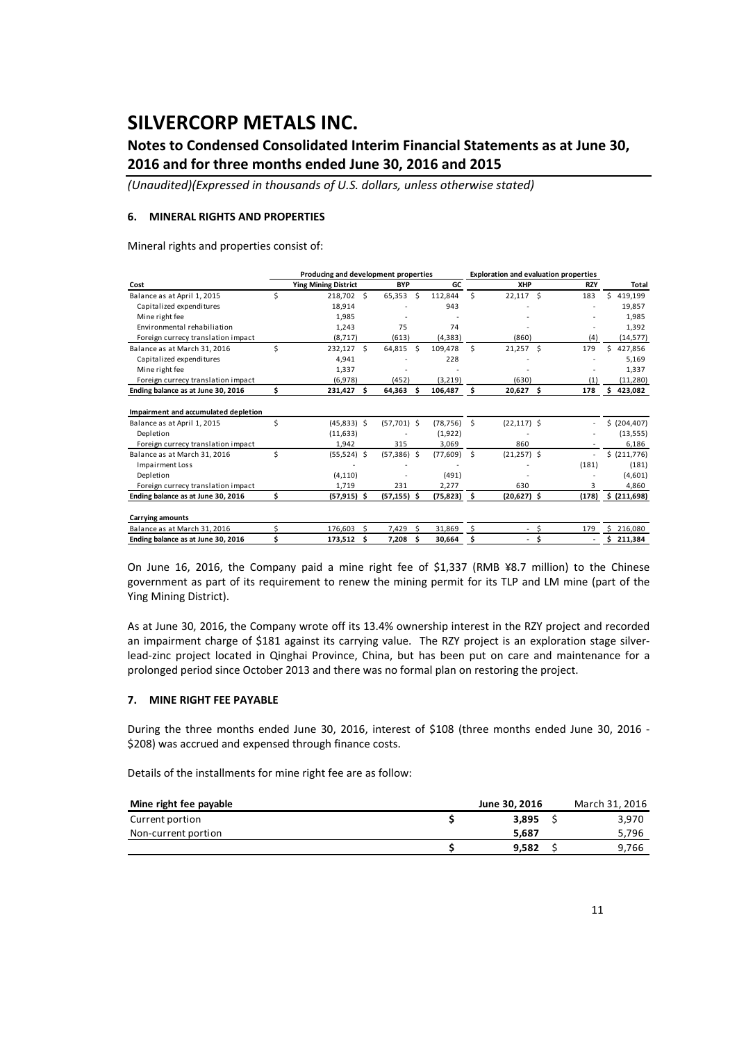### **Notes to Condensed Consolidated Interim Financial Statements as at June 30, 2016 and for three months ended June 30, 2016 and 2015**

*(Unaudited)(Expressed in thousands of U.S. dollars, unless otherwise stated)*

#### **6. MINERAL RIGHTS AND PROPERTIES**

Mineral rights and properties consist of:

|                                      |    | Producing and development properties |   |                |    | <b>Exploration and evaluation properties</b> |     |                |    |               |    |               |
|--------------------------------------|----|--------------------------------------|---|----------------|----|----------------------------------------------|-----|----------------|----|---------------|----|---------------|
| Cost                                 |    | <b>Ying Mining District</b>          |   | <b>BYP</b>     |    | GC                                           |     | XHP            |    | <b>RZY</b>    |    | Total         |
| Balance as at April 1, 2015          | Ś  | 218,702 \$                           |   | 65,353         | Ś  | 112,844                                      | Ś.  | $22,117$ \$    |    | 183           | Ś  | 419,199       |
| Capitalized expenditures             |    | 18,914                               |   |                |    | 943                                          |     |                |    |               |    | 19,857        |
| Mine right fee                       |    | 1,985                                |   |                |    |                                              |     |                |    |               |    | 1,985         |
| Environmental rehabiliation          |    | 1,243                                |   | 75             |    | 74                                           |     |                |    |               |    | 1,392         |
| Foreign currecy translation impact   |    | (8, 717)                             |   | (613)          |    | (4, 383)                                     |     | (860)          |    | (4)           |    | (14, 577)     |
| Balance as at March 31, 2016         | Ś  | 232,127 \$                           |   | 64,815         | Ŝ. | 109,478                                      | Ś.  | $21,257$ \$    |    | 179           | Ś  | 427,856       |
| Capitalized expenditures             |    | 4,941                                |   |                |    | 228                                          |     |                |    |               |    | 5,169         |
| Mine right fee                       |    | 1,337                                |   |                |    |                                              |     |                |    |               |    | 1,337         |
| Foreign currecy translation impact   |    | (6,978)                              |   | (452)          |    | (3,219)                                      |     | (630)          |    | (1)           |    | (11, 280)     |
| Ending balance as at June 30, 2016   | \$ | 231,427 \$                           |   | 64,363         | Ŝ  | 106,487                                      | s   | $20,627$ \$    |    | 178           |    | 423,082       |
| Impairment and accumulated depletion |    |                                      |   |                |    |                                              |     |                |    |               |    |               |
| Balance as at April 1, 2015          | Ś  | $(45,833)$ \$                        |   | $(57,701)$ \$  |    | (78, 756)                                    | Ŝ.  | $(22, 117)$ \$ |    |               |    | \$ (204, 407) |
| Depletion                            |    | (11, 633)                            |   |                |    | (1,922)                                      |     |                |    |               |    | (13, 555)     |
| Foreign currecy translation impact   |    | 1,942                                |   | 315            |    | 3,069                                        |     | 860            |    |               |    | 6,186         |
| Balance as at March 31, 2016         | Ś  | $(55,524)$ \$                        |   | $(57,386)$ \$  |    | (77, 609)                                    | Ŝ.  | $(21,257)$ \$  |    | $\frac{1}{2}$ |    | \$ (211,776)  |
| Impairment Loss                      |    |                                      |   |                |    |                                              |     |                |    | (181)         |    | (181)         |
| Depletion                            |    | (4, 110)                             |   |                |    | (491)                                        |     |                |    |               |    | (4,601)       |
| Foreign currecy translation impact   |    | 1,719                                |   | 231            |    | 2,277                                        |     | 630            |    | 3             |    | 4,860         |
| Ending balance as at June 30, 2016   | \$ | $(57, 915)$ \$                       |   | $(57, 155)$ \$ |    | (75, 823)                                    | −\$ | $(20,627)$ \$  |    | (178)         |    | \$ (211,698)  |
| <b>Carrying amounts</b>              |    |                                      |   |                |    |                                              |     |                |    |               |    |               |
| Balance as at March 31, 2016         | Ś  | 176.603                              | Ś | 7,429          | Ś  | 31.869                                       | \$. | $\sim$         | \$ | 179           | Ś. | 216,080       |
| Ending balance as at June 30, 2016   |    | 173,512                              | Ŝ | 7,208          | Ś  | 30,664                                       | Ś   | ۰              | Ś  |               | Ś  | 211,384       |

On June 16, 2016, the Company paid a mine right fee of \$1,337 (RMB ¥8.7 million) to the Chinese government as part of its requirement to renew the mining permit for its TLP and LM mine (part of the Ying Mining District).

As at June 30, 2016, the Company wrote off its 13.4% ownership interest in the RZY project and recorded an impairment charge of \$181 against its carrying value. The RZY project is an exploration stage silverlead‐zinc project located in Qinghai Province, China, but has been put on care and maintenance for a prolonged period since October 2013 and there was no formal plan on restoring the project.

#### **7. MINE RIGHT FEE PAYABLE**

During the three months ended June 30, 2016, interest of \$108 (three months ended June 30, 2016 -\$208) was accrued and expensed through finance costs.

Details of the installments for mine right fee are as follow:

|       | March 31, 2016 |
|-------|----------------|
| 3.895 | 3,970          |
| 5.687 | 5,796          |
| 9.582 | 9,766          |
|       | June 30, 2016  |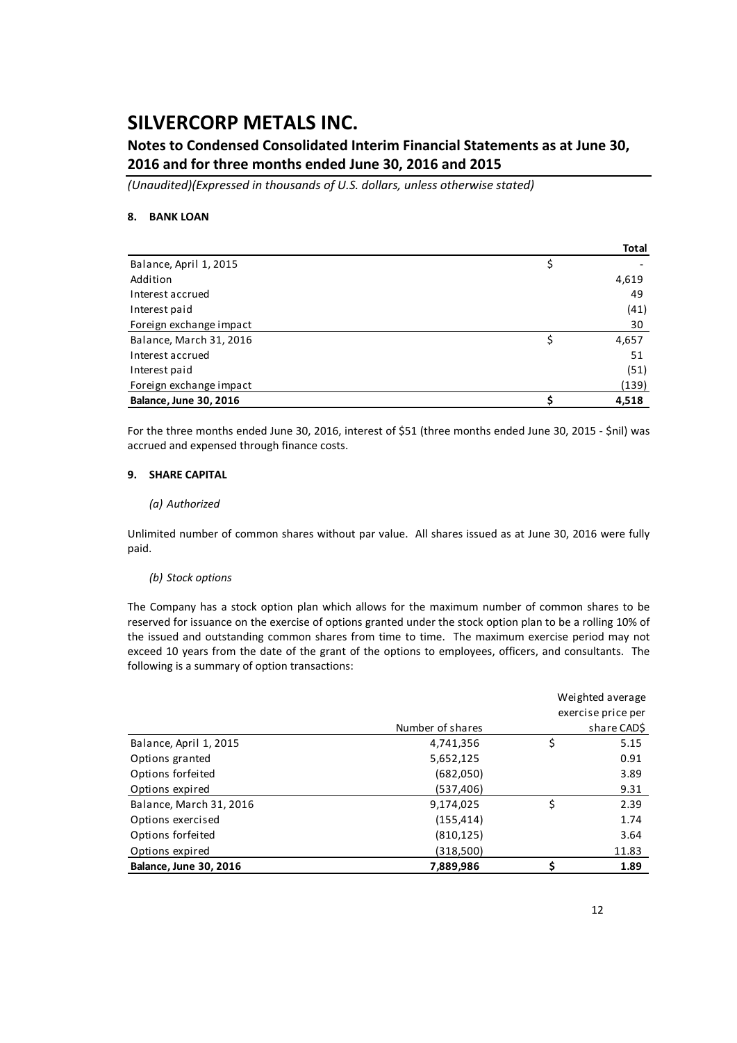### **Notes to Condensed Consolidated Interim Financial Statements as at June 30, 2016 and for three months ended June 30, 2016 and 2015**

*(Unaudited)(Expressed in thousands of U.S. dollars, unless otherwise stated)*

#### **8. BANK LOAN**

|                               | Total |
|-------------------------------|-------|
| Balance, April 1, 2015        | \$    |
| Addition                      | 4,619 |
| Interest accrued              | 49    |
| Interest paid                 | (41)  |
| Foreign exchange impact       | 30    |
| Balance, March 31, 2016       | 4,657 |
| Interest accrued              | 51    |
| Interest paid                 | (51)  |
| Foreign exchange impact       | (139) |
| <b>Balance, June 30, 2016</b> | 4,518 |

For the three months ended June 30, 2016, interest of \$51 (three months ended June 30, 2015 ‐ \$nil) was accrued and expensed through finance costs.

#### **9. SHARE CAPITAL**

#### *(a) Authorized*

Unlimited number of common shares without par value. All shares issued as at June 30, 2016 were fully paid.

#### *(b) Stock options*

The Company has a stock option plan which allows for the maximum number of common shares to be reserved for issuance on the exercise of options granted under the stock option plan to be a rolling 10% of the issued and outstanding common shares from time to time. The maximum exercise period may not exceed 10 years from the date of the grant of the options to employees, officers, and consultants. The following is a summary of option transactions:

|                               | Weighted average   |    |             |  |
|-------------------------------|--------------------|----|-------------|--|
|                               | exercise price per |    |             |  |
|                               | Number of shares   |    | share CAD\$ |  |
| Balance, April 1, 2015        | 4,741,356          | \$ | 5.15        |  |
| Options granted               | 5,652,125          |    | 0.91        |  |
| Options forfeited             | (682,050)          |    | 3.89        |  |
| Options expired               | (537, 406)         |    | 9.31        |  |
| Balance, March 31, 2016       | 9,174,025          | \$ | 2.39        |  |
| Options exercised             | (155, 414)         |    | 1.74        |  |
| Options forfeited             | (810, 125)         |    | 3.64        |  |
| Options expired               | (318,500)          |    | 11.83       |  |
| <b>Balance, June 30, 2016</b> | 7,889,986          |    | 1.89        |  |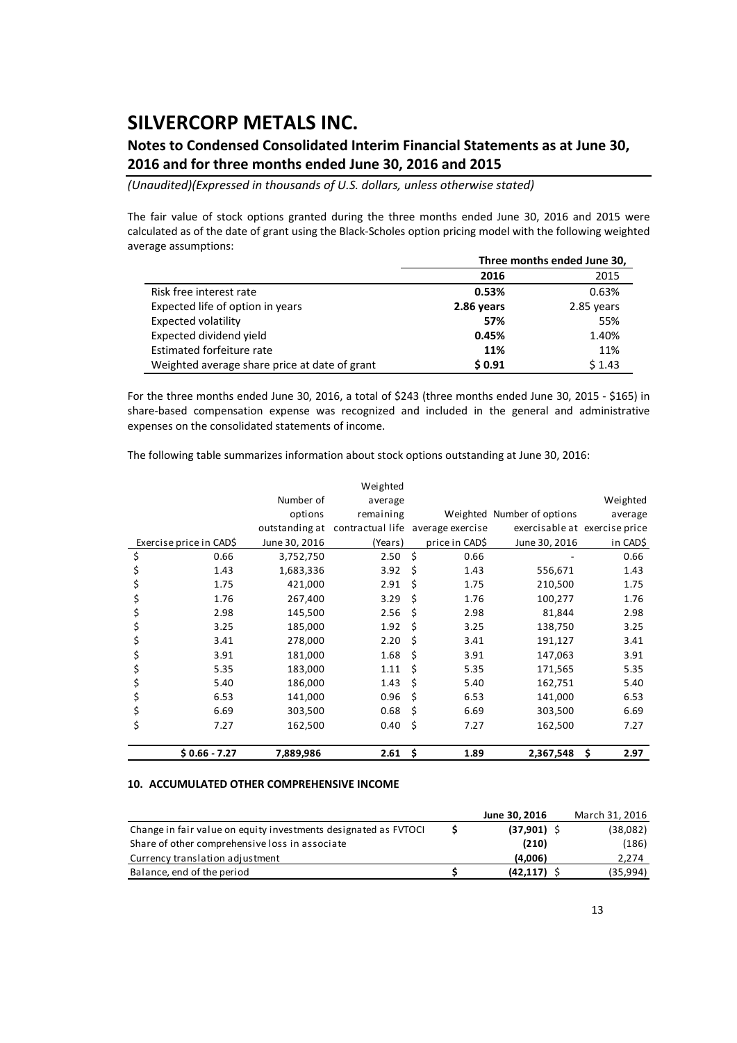### **Notes to Condensed Consolidated Interim Financial Statements as at June 30, 2016 and for three months ended June 30, 2016 and 2015**

*(Unaudited)(Expressed in thousands of U.S. dollars, unless otherwise stated)*

The fair value of stock options granted during the three months ended June 30, 2016 and 2015 were calculated as of the date of grant using the Black‐Scholes option pricing model with the following weighted average assumptions:

|                                               | Three months ended June 30, |            |  |  |
|-----------------------------------------------|-----------------------------|------------|--|--|
|                                               | 2016                        | 2015       |  |  |
| Risk free interest rate                       | 0.53%                       | 0.63%      |  |  |
| Expected life of option in years              | 2.86 years                  | 2.85 years |  |  |
| Expected volatility                           | 57%                         | 55%        |  |  |
| Expected dividend yield                       | 0.45%                       | 1.40%      |  |  |
| Estimated forfeiture rate                     | 11%                         | 11%        |  |  |
| Weighted average share price at date of grant | \$0.91                      | \$1.43     |  |  |

For the three months ended June 30, 2016, a total of \$243 (three months ended June 30, 2015 ‐ \$165) in share-based compensation expense was recognized and included in the general and administrative expenses on the consolidated statements of income.

The following table summarizes information about stock options outstanding at June 30, 2016:

|                         |                | Weighted         |    |                  |                               |             |
|-------------------------|----------------|------------------|----|------------------|-------------------------------|-------------|
|                         | Number of      | average          |    |                  |                               | Weighted    |
|                         | options        | remaining        |    |                  | Weighted Number of options    | average     |
|                         | outstanding at | contractual life |    | average exercise | exercisable at exercise price |             |
| Exercise price in CAD\$ | June 30, 2016  | (Years)          |    | price in CAD\$   | June 30, 2016                 | in CAD\$    |
| \$<br>0.66              | 3,752,750      | 2.50             | \$ | 0.66             |                               | 0.66        |
| \$<br>1.43              | 1,683,336      | 3.92             | \$ | 1.43             | 556,671                       | 1.43        |
| 1.75<br>\$              | 421,000        | 2.91             | \$ | 1.75             | 210,500                       | 1.75        |
| 1.76<br>Ş               | 267,400        | 3.29             | \$ | 1.76             | 100,277                       | 1.76        |
| \$<br>2.98              | 145,500        | 2.56             | Ś  | 2.98             | 81,844                        | 2.98        |
| \$<br>3.25              | 185,000        | 1.92             | Ś  | 3.25             | 138,750                       | 3.25        |
| \$<br>3.41              | 278,000        | 2.20             | Ś  | 3.41             | 191,127                       | 3.41        |
| \$<br>3.91              | 181,000        | 1.68             | Ś  | 3.91             | 147,063                       | 3.91        |
| \$<br>5.35              | 183,000        | 1.11             | Ś  | 5.35             | 171,565                       | 5.35        |
| \$<br>5.40              | 186,000        | 1.43             | Ś  | 5.40             | 162,751                       | 5.40        |
| \$<br>6.53              | 141,000        | 0.96             | \$ | 6.53             | 141,000                       | 6.53        |
| \$<br>6.69              | 303,500        | 0.68             | \$ | 6.69             | 303,500                       | 6.69        |
| \$<br>7.27              | 162,500        | 0.40             | \$ | 7.27             | 162,500                       | 7.27        |
| $$0.66 - 7.27$          | 7,889,986      | 2.61             | \$ | 1.89             | 2,367,548                     | \$.<br>2.97 |

#### **10. ACCUMULATED OTHER COMPREHENSIVE INCOME**

|                                                                 | June 30, 2016 | March 31, 2016 |
|-----------------------------------------------------------------|---------------|----------------|
| Change in fair value on equity investments designated as FVTOCI | $(37,901)$ \$ | (38,082)       |
| Share of other comprehensive loss in associate                  | (210)         | (186)          |
| Currency translation adjustment                                 | (4.006)       | 2,274          |
| Balance, end of the period                                      | (42.117)      | (35,994)       |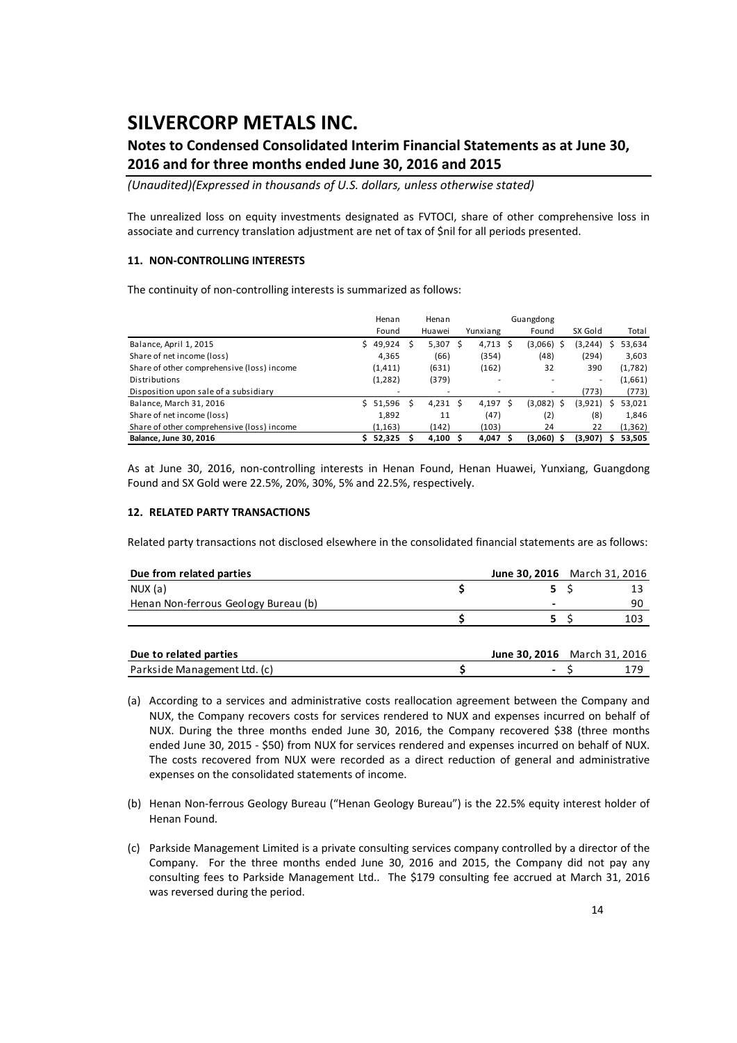### **Notes to Condensed Consolidated Interim Financial Statements as at June 30, 2016 and for three months ended June 30, 2016 and 2015**

*(Unaudited)(Expressed in thousands of U.S. dollars, unless otherwise stated)*

The unrealized loss on equity investments designated as FVTOCI, share of other comprehensive loss in associate and currency translation adjustment are net of tax of \$nil for all periods presented.

#### **11. NON‐CONTROLLING INTERESTS**

The continuity of non-controlling interests is summarized as follows:

|                                            |    | Henan    | Henan  |          | Guangdong      |          |   |          |
|--------------------------------------------|----|----------|--------|----------|----------------|----------|---|----------|
|                                            |    | Found    | Huawei | Yunxiang | Found          | SX Gold  |   | Total    |
| Balance, April 1, 2015                     | Ś. | 49,924   | 5,307  | 4,713 \$ | (3,066)        | (3, 244) |   | 53,634   |
| Share of net income (loss)                 |    | 4,365    | (66)   | (354)    | (48)           | (294)    |   | 3,603    |
| Share of other comprehensive (loss) income |    | (1, 411) | (631)  | (162)    | 32             | 390      |   | (1,782)  |
| Distributions                              |    | (1, 282) | (379)  | ۰        |                | ٠        |   | (1,661)  |
| Disposition upon sale of a subsidiary      |    |          | ٠      |          |                | (773)    |   | (773)    |
| Balance, March 31, 2016                    | ς. | 51,596   | 4,231  | 4,197 \$ | (3,082)<br>- S | (3,921)  | S | 53,021   |
| Share of net income (loss)                 |    | 1,892    | 11     | (47)     | (2)            | (8)      |   | 1,846    |
| Share of other comprehensive (loss) income |    | (1, 163) | (142)  | (103)    | 24             | 22       |   | (1, 362) |
| <b>Balance, June 30, 2016</b>              |    | 52,325   | 4,100  | 4,047    | $(3,060)$ \$   | (3,907)  |   | 53,505   |

As at June 30, 2016, non‐controlling interests in Henan Found, Henan Huawei, Yunxiang, Guangdong Found and SX Gold were 22.5%, 20%, 30%, 5% and 22.5%, respectively.

#### **12. RELATED PARTY TRANSACTIONS**

Related party transactions not disclosed elsewhere in the consolidated financial statements are as follows:

| Due from related parties             | <b>June 30, 2016</b> March 31, 2016 |     |
|--------------------------------------|-------------------------------------|-----|
| NUX (a)                              |                                     |     |
| Henan Non-ferrous Geology Bureau (b) |                                     | 90  |
|                                      |                                     | 103 |
|                                      |                                     |     |

| Due to related parties       | <b>June 30. 2016</b> March 31, 2016 |  |
|------------------------------|-------------------------------------|--|
| Parkside Management Ltd. (c) |                                     |  |

- (a) According to a services and administrative costs reallocation agreement between the Company and NUX, the Company recovers costs for services rendered to NUX and expenses incurred on behalf of NUX. During the three months ended June 30, 2016, the Company recovered \$38 (three months ended June 30, 2015 ‐ \$50) from NUX for services rendered and expenses incurred on behalf of NUX. The costs recovered from NUX were recorded as a direct reduction of general and administrative expenses on the consolidated statements of income.
- (b) Henan Non‐ferrous Geology Bureau ("Henan Geology Bureau") is the 22.5% equity interest holder of Henan Found.
- (c) Parkside Management Limited is a private consulting services company controlled by a director of the Company. For the three months ended June 30, 2016 and 2015, the Company did not pay any consulting fees to Parkside Management Ltd.. The \$179 consulting fee accrued at March 31, 2016 was reversed during the period.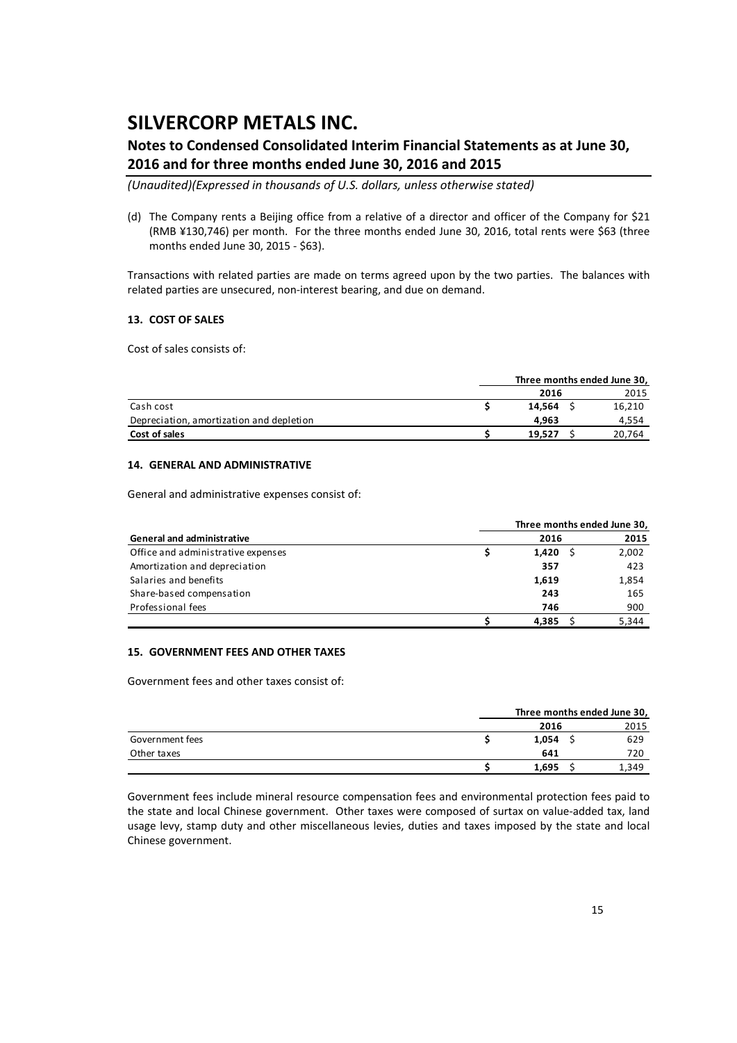### **Notes to Condensed Consolidated Interim Financial Statements as at June 30, 2016 and for three months ended June 30, 2016 and 2015**

*(Unaudited)(Expressed in thousands of U.S. dollars, unless otherwise stated)*

(d) The Company rents a Beijing office from a relative of a director and officer of the Company for \$21 (RMB ¥130,746) per month. For the three months ended June 30, 2016, total rents were \$63 (three months ended June 30, 2015 ‐ \$63).

Transactions with related parties are made on terms agreed upon by the two parties. The balances with related parties are unsecured, non‐interest bearing, and due on demand.

#### **13. COST OF SALES**

Cost of sales consists of:

|                                          | Three months ended June 30, |        |  |        |
|------------------------------------------|-----------------------------|--------|--|--------|
|                                          |                             | 2016   |  | 2015   |
| Cash cost                                |                             | 14.564 |  | 16,210 |
| Depreciation, amortization and depletion |                             | 4.963  |  | 4,554  |
| Cost of sales                            |                             | 19.527 |  | 20,764 |

#### **14. GENERAL AND ADMINISTRATIVE**

General and administrative expenses consist of:

|                                    |       | Three months ended June 30, |
|------------------------------------|-------|-----------------------------|
| <b>General and administrative</b>  | 2016  | 2015                        |
| Office and administrative expenses | 1.420 | 2,002                       |
| Amortization and depreciation      | 357   | 423                         |
| Salaries and benefits              | 1,619 | 1,854                       |
| Share-based compensation           | 243   | 165                         |
| Professional fees                  | 746   | 900                         |
|                                    | 4.385 | 5.344                       |

#### **15. GOVERNMENT FEES AND OTHER TAXES**

Government fees and other taxes consist of:

|                 | Three months ended June 30, |      |  |  |
|-----------------|-----------------------------|------|--|--|
|                 | 2016                        | 2015 |  |  |
| Government fees | 1.054                       | 629  |  |  |
| Other taxes     | 641                         | 720  |  |  |
|                 | 1.695                       | 349ء |  |  |

Government fees include mineral resource compensation fees and environmental protection fees paid to the state and local Chinese government. Other taxes were composed of surtax on value-added tax, land usage levy, stamp duty and other miscellaneous levies, duties and taxes imposed by the state and local Chinese government.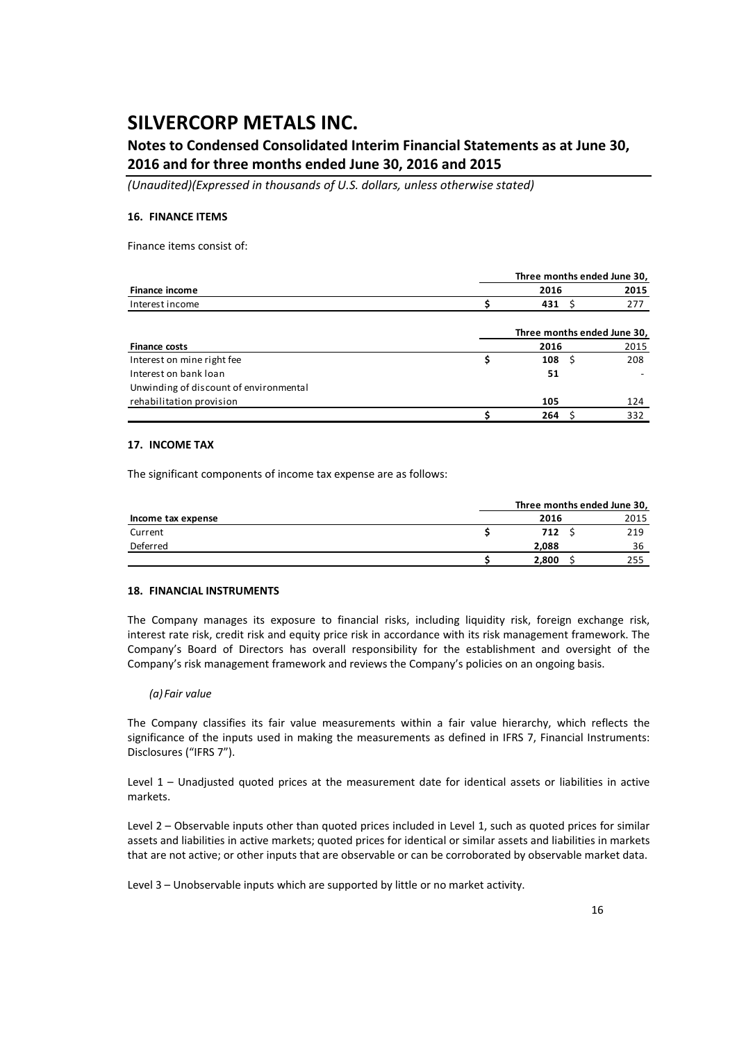### **Notes to Condensed Consolidated Interim Financial Statements as at June 30, 2016 and for three months ended June 30, 2016 and 2015**

*(Unaudited)(Expressed in thousands of U.S. dollars, unless otherwise stated)*

#### **16. FINANCE ITEMS**

Finance items consist of:

|                                        |  |                   |                             | Three months ended June 30, |
|----------------------------------------|--|-------------------|-----------------------------|-----------------------------|
| <b>Finance income</b>                  |  | 2016              |                             | 2015                        |
| Interest income                        |  | 431 $\frac{1}{2}$ |                             | 277                         |
|                                        |  |                   | Three months ended June 30, |                             |
| <b>Finance costs</b>                   |  | 2016              |                             | 2015                        |
| Interest on mine right fee             |  | 108               | -S                          | 208                         |
| Interest on bank loan                  |  | 51                |                             |                             |
| Unwinding of discount of environmental |  |                   |                             |                             |
| rehabilitation provision               |  | 105               |                             | 124                         |
|                                        |  | 264               |                             | 332                         |

#### **17. INCOME TAX**

The significant components of income tax expense are as follows:

|                    | Three months ended June 30, |      |
|--------------------|-----------------------------|------|
| Income tax expense | 2016                        | 2015 |
| Current            | 712                         | 219  |
| Deferred           | 2.088                       | 36   |
|                    | 2.800                       | 255  |

#### **18. FINANCIAL INSTRUMENTS**

The Company manages its exposure to financial risks, including liquidity risk, foreign exchange risk, interest rate risk, credit risk and equity price risk in accordance with its risk management framework. The Company's Board of Directors has overall responsibility for the establishment and oversight of the Company's risk management framework and reviews the Company's policies on an ongoing basis.

#### *(a) Fair value*

The Company classifies its fair value measurements within a fair value hierarchy, which reflects the significance of the inputs used in making the measurements as defined in IFRS 7, Financial Instruments: Disclosures ("IFRS 7").

Level 1 – Unadjusted quoted prices at the measurement date for identical assets or liabilities in active markets.

Level 2 – Observable inputs other than quoted prices included in Level 1, such as quoted prices for similar assets and liabilities in active markets; quoted prices for identical or similar assets and liabilities in markets that are not active; or other inputs that are observable or can be corroborated by observable market data.

Level 3 – Unobservable inputs which are supported by little or no market activity.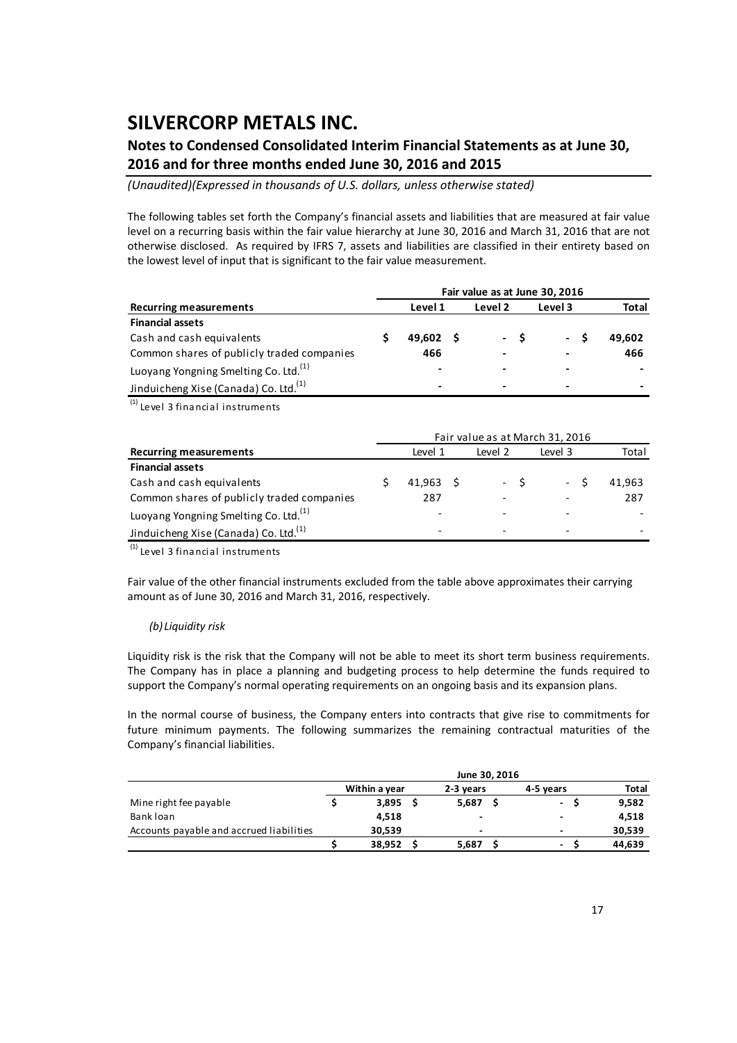### **Notes to Condensed Consolidated Interim Financial Statements as at June 30, 2016 and for three months ended June 30, 2016 and 2015**

*(Unaudited)(Expressed in thousands of U.S. dollars, unless otherwise stated)*

The following tables set forth the Company's financial assets and liabilities that are measured at fair value level on a recurring basis within the fair value hierarchy at June 30, 2016 and March 31, 2016 that are not otherwise disclosed. As required by IFRS 7, assets and liabilities are classified in their entirety based on the lowest level of input that is significant to the fair value measurement.

|                                                   | Fair value as at June 30, 2016 |                          |  |         |      |                          |                          |  |  |  |  |  |
|---------------------------------------------------|--------------------------------|--------------------------|--|---------|------|--------------------------|--------------------------|--|--|--|--|--|
| <b>Recurring measurements</b>                     |                                | Level 1                  |  | Level 2 |      | Level 3                  | Total                    |  |  |  |  |  |
| <b>Financial assets</b>                           |                                |                          |  |         |      |                          |                          |  |  |  |  |  |
| Cash and cash equivalents                         |                                | $49.602 \quad S$         |  |         | $-S$ | - S                      | 49.602                   |  |  |  |  |  |
| Common shares of publicly traded companies        |                                | 466                      |  |         |      | $\overline{\phantom{0}}$ | 466                      |  |  |  |  |  |
| Luoyang Yongning Smelting Co. Ltd. <sup>(1)</sup> |                                | $\overline{\phantom{0}}$ |  |         |      |                          |                          |  |  |  |  |  |
| Jinduicheng Xise (Canada) Co. Ltd. <sup>(1)</sup> |                                | $\,$                     |  |         |      | $\,$                     | $\overline{\phantom{0}}$ |  |  |  |  |  |

 $\overline{^{(1)}}$  Level 3 financial instruments

|                                                   | Fair value as at March 31, 2016 |                          |  |         |      |         |        |  |  |  |  |  |  |
|---------------------------------------------------|---------------------------------|--------------------------|--|---------|------|---------|--------|--|--|--|--|--|--|
| <b>Recurring measurements</b>                     |                                 | Level 1                  |  | Level 2 |      | Level 3 | Total  |  |  |  |  |  |  |
| <b>Financial assets</b>                           |                                 |                          |  |         |      |         |        |  |  |  |  |  |  |
| Cash and cash equivalents                         |                                 | 41.963 S                 |  |         | $-S$ | $-S$    | 41.963 |  |  |  |  |  |  |
| Common shares of publicly traded companies        |                                 | 287                      |  |         |      |         | 287    |  |  |  |  |  |  |
| Luoyang Yongning Smelting Co. Ltd. <sup>(1)</sup> |                                 | ٠                        |  |         |      |         |        |  |  |  |  |  |  |
| Jinduicheng Xise (Canada) Co. Ltd. <sup>(1)</sup> |                                 | $\overline{\phantom{0}}$ |  |         |      |         |        |  |  |  |  |  |  |

 $<sup>(1)</sup>$  Level 3 financial instruments</sup>

Fair value of the other financial instruments excluded from the table above approximates their carrying amount as of June 30, 2016 and March 31, 2016, respectively.

#### *(b) Liquidity risk*

Liquidity risk is the risk that the Company will not be able to meet its short term business requirements. The Company has in place a planning and budgeting process to help determine the funds required to support the Company's normal operating requirements on an ongoing basis and its expansion plans.

In the normal course of business, the Company enters into contracts that give rise to commitments for future minimum payments. The following summarizes the remaining contractual maturities of the Company's financial liabilities.

|                                          | June 30, 2016 |                                         |  |                          |  |        |  |        |  |  |  |  |
|------------------------------------------|---------------|-----------------------------------------|--|--------------------------|--|--------|--|--------|--|--|--|--|
|                                          |               | Within a year<br>4-5 years<br>2-3 vears |  |                          |  |        |  |        |  |  |  |  |
| Mine right fee payable                   |               | 3.895                                   |  | 5.687                    |  | $\sim$ |  | 9,582  |  |  |  |  |
| Bank loan                                |               | 4.518                                   |  | $\overline{\phantom{a}}$ |  |        |  | 4,518  |  |  |  |  |
| Accounts payable and accrued liabilities |               | 30.539                                  |  | $\overline{\phantom{a}}$ |  |        |  | 30,539 |  |  |  |  |
|                                          |               | 38,952                                  |  | 5,687                    |  | ٠      |  | 44.639 |  |  |  |  |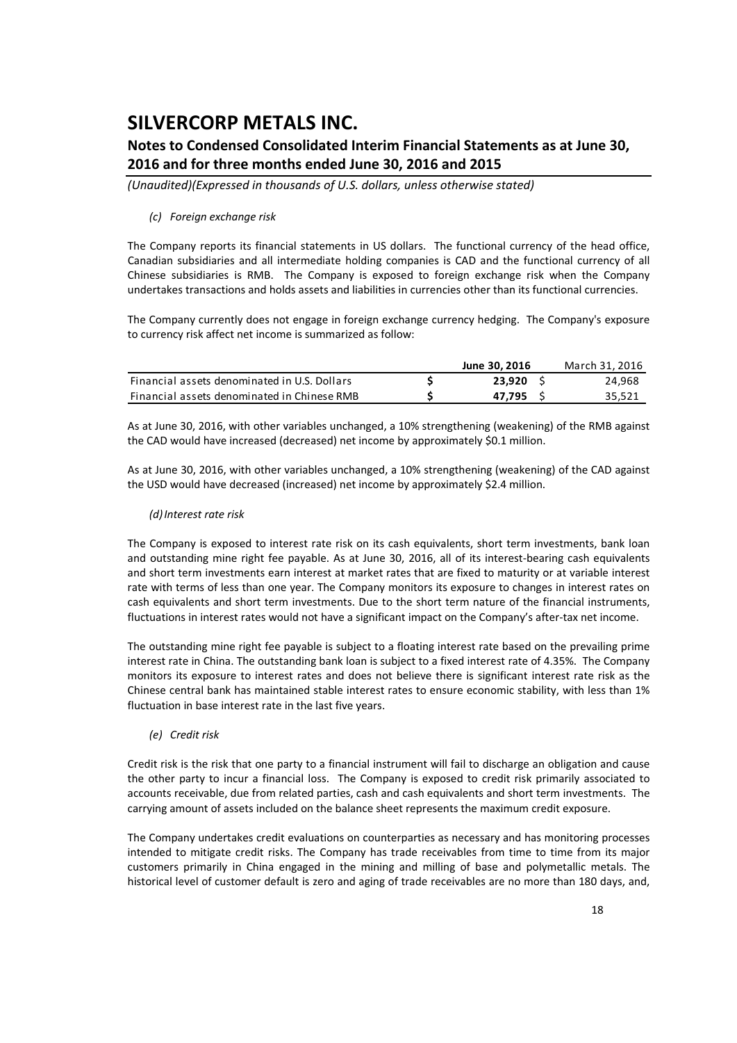### **Notes to Condensed Consolidated Interim Financial Statements as at June 30, 2016 and for three months ended June 30, 2016 and 2015**

*(Unaudited)(Expressed in thousands of U.S. dollars, unless otherwise stated)*

#### *(c) Foreign exchange risk*

The Company reports its financial statements in US dollars. The functional currency of the head office, Canadian subsidiaries and all intermediate holding companies is CAD and the functional currency of all Chinese subsidiaries is RMB. The Company is exposed to foreign exchange risk when the Company undertakes transactions and holds assets and liabilities in currencies other than its functional currencies.

The Company currently does not engage in foreign exchange currency hedging. The Company's exposure to currency risk affect net income is summarized as follow:

|                                              | June 30, 2016 | March 31, 2016 |
|----------------------------------------------|---------------|----------------|
| Financial assets denominated in U.S. Dollars | 23,920        | 24.968         |
| Financial assets denominated in Chinese RMB  | 47.795        | 35,521         |

As at June 30, 2016, with other variables unchanged, a 10% strengthening (weakening) of the RMB against the CAD would have increased (decreased) net income by approximately \$0.1 million.

As at June 30, 2016, with other variables unchanged, a 10% strengthening (weakening) of the CAD against the USD would have decreased (increased) net income by approximately \$2.4 million.

#### *(d)Interest rate risk*

The Company is exposed to interest rate risk on its cash equivalents, short term investments, bank loan and outstanding mine right fee payable. As at June 30, 2016, all of its interest-bearing cash equivalents and short term investments earn interest at market rates that are fixed to maturity or at variable interest rate with terms of less than one year. The Company monitors its exposure to changes in interest rates on cash equivalents and short term investments. Due to the short term nature of the financial instruments, fluctuations in interest rates would not have a significant impact on the Company's after-tax net income.

The outstanding mine right fee payable is subject to a floating interest rate based on the prevailing prime interest rate in China. The outstanding bank loan is subject to a fixed interest rate of 4.35%. The Company monitors its exposure to interest rates and does not believe there is significant interest rate risk as the Chinese central bank has maintained stable interest rates to ensure economic stability, with less than 1% fluctuation in base interest rate in the last five years.

#### *(e) Credit risk*

Credit risk is the risk that one party to a financial instrument will fail to discharge an obligation and cause the other party to incur a financial loss. The Company is exposed to credit risk primarily associated to accounts receivable, due from related parties, cash and cash equivalents and short term investments. The carrying amount of assets included on the balance sheet represents the maximum credit exposure.

The Company undertakes credit evaluations on counterparties as necessary and has monitoring processes intended to mitigate credit risks. The Company has trade receivables from time to time from its major customers primarily in China engaged in the mining and milling of base and polymetallic metals. The historical level of customer default is zero and aging of trade receivables are no more than 180 days, and,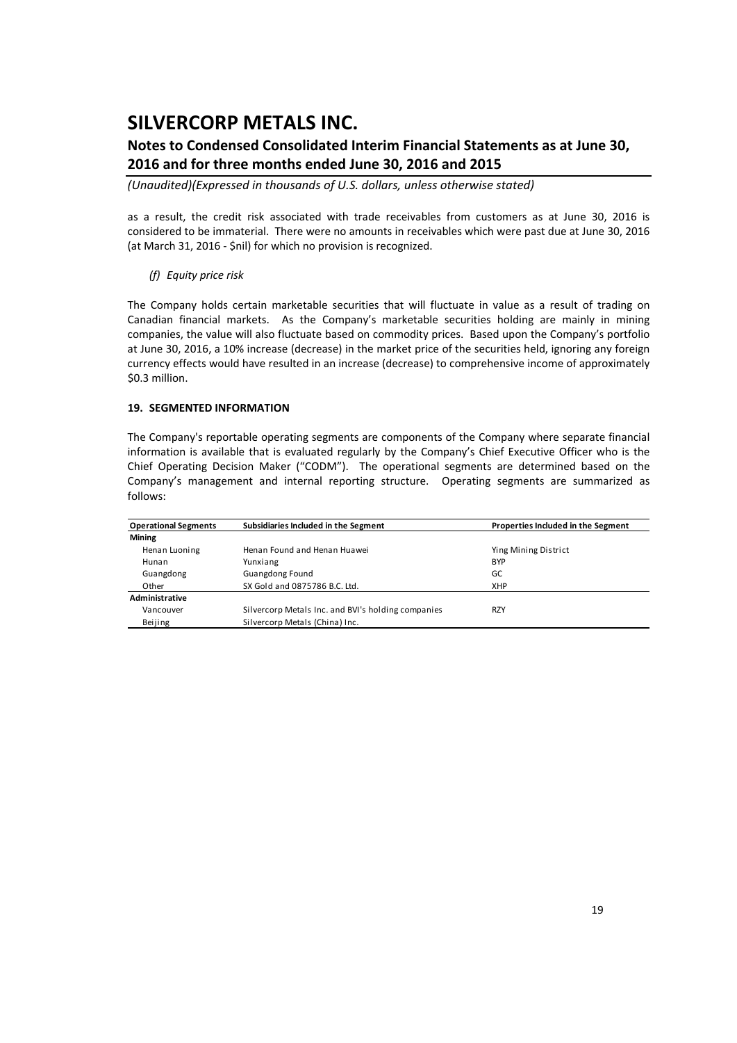### **Notes to Condensed Consolidated Interim Financial Statements as at June 30, 2016 and for three months ended June 30, 2016 and 2015**

*(Unaudited)(Expressed in thousands of U.S. dollars, unless otherwise stated)*

as a result, the credit risk associated with trade receivables from customers as at June 30, 2016 is considered to be immaterial. There were no amounts in receivables which were past due at June 30, 2016 (at March 31, 2016 ‐ \$nil) for which no provision is recognized.

#### *(f) Equity price risk*

The Company holds certain marketable securities that will fluctuate in value as a result of trading on Canadian financial markets. As the Company's marketable securities holding are mainly in mining companies, the value will also fluctuate based on commodity prices. Based upon the Company's portfolio at June 30, 2016, a 10% increase (decrease) in the market price of the securities held, ignoring any foreign currency effects would have resulted in an increase (decrease) to comprehensive income of approximately \$0.3 million.

#### **19. SEGMENTED INFORMATION**

The Company's reportable operating segments are components of the Company where separate financial information is available that is evaluated regularly by the Company's Chief Executive Officer who is the Chief Operating Decision Maker ("CODM"). The operational segments are determined based on the Company's management and internal reporting structure. Operating segments are summarized as follows:

| <b>Operational Segments</b> | Subsidiaries Included in the Segment               | Properties Included in the Segment |
|-----------------------------|----------------------------------------------------|------------------------------------|
| <b>Mining</b>               |                                                    |                                    |
| Henan Luoning               | Henan Found and Henan Huawei                       | Ying Mining District               |
| Hunan                       | Yunxiang                                           | <b>BYP</b>                         |
| Guangdong                   | <b>Guangdong Found</b>                             | GC                                 |
| Other                       | SX Gold and 0875786 B.C. Ltd.                      | <b>XHP</b>                         |
| Administrative              |                                                    |                                    |
| Vancouver                   | Silvercorp Metals Inc. and BVI's holding companies | <b>RZY</b>                         |
| Beijing                     | Silvercorp Metals (China) Inc.                     |                                    |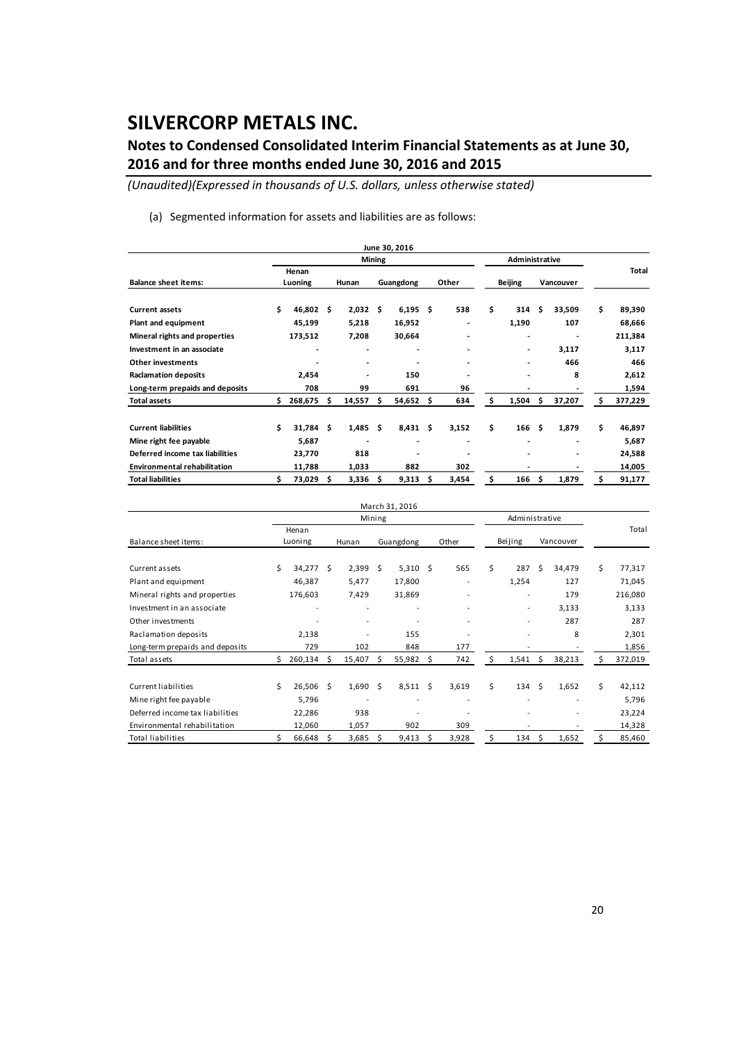### **Notes to Condensed Consolidated Interim Financial Statements as at June 30, 2016 and for three months ended June 30, 2016 and 2015**

*(Unaudited)(Expressed in thousands of U.S. dollars, unless otherwise stated)*

(a) Segmented information for assets and liabilities are as follows:

|                                     |                  |           |     |        |        | June 30, 2016 |     |                          |                |       |           |        |    |         |
|-------------------------------------|------------------|-----------|-----|--------|--------|---------------|-----|--------------------------|----------------|-------|-----------|--------|----|---------|
|                                     |                  |           |     |        | Mining |               |     |                          | Administrative |       |           |        |    |         |
| <b>Balance sheet items:</b>         | Henan<br>Luoning |           |     | Hunan  |        | Guangdong     |     | Other                    | <b>Beijing</b> |       | Vancouver |        |    | Total   |
| <b>Current assets</b>               | \$               | 46,802    | Ŝ   | 2,032  | \$     | 6,195         | Ŝ.  | 538                      | \$             | 314   | \$.       | 33,509 | \$ | 89,390  |
| Plant and equipment                 |                  | 45,199    |     | 5,218  |        | 16,952        |     | ٠                        |                | 1,190 |           | 107    |    | 68,666  |
| Mineral rights and properties       |                  | 173,512   |     | 7,208  |        | 30,664        |     |                          |                | -     |           |        |    | 211,384 |
| Investment in an associate          |                  | ٠         |     |        |        | -             |     |                          |                |       |           | 3,117  |    | 3,117   |
| Other investments                   |                  |           |     |        |        |               |     |                          |                | ٠     |           | 466    |    | 466     |
| <b>Raclamation deposits</b>         |                  | 2,454     |     |        |        | 150           |     |                          |                |       |           | 8      |    | 2,612   |
| Long-term prepaids and deposits     |                  | 708       |     | 99     |        | 691           |     | 96                       |                |       |           |        |    | 1,594   |
| <b>Total assets</b>                 | \$               | 268,675   | \$. | 14,557 | \$.    | 54,652        | \$. | 634                      | \$             | 1,504 | \$        | 37,207 | Ŝ  | 377,229 |
| <b>Current liabilities</b>          | \$               | 31,784 \$ |     | 1,485  | \$     | 8,431         | \$. | 3,152                    | \$             | 166   | Ŝ.        | 1,879  | \$ | 46,897  |
| Mine right fee payable              |                  | 5,687     |     |        |        | -             |     | $\overline{\phantom{a}}$ |                |       |           |        |    | 5,687   |
| Deferred income tax liabilities     |                  | 23,770    |     | 818    |        | ٠             |     |                          |                |       |           |        |    | 24,588  |
| <b>Environmental rehabilitation</b> |                  | 11,788    |     | 1,033  |        | 882           |     | 302                      |                |       |           |        |    | 14,005  |
| <b>Total liabilities</b>            | Ś                | 73,029    | s   | 3,336  | Ś      | 9,313         | \$. | 3,454                    | \$             | 166   | Ŝ         | 1,879  | Ś  | 91,177  |

|                                 |    |              |      |                          |                     | March 31, 2016 |    |       |                |                          |      |           |    |         |
|---------------------------------|----|--------------|------|--------------------------|---------------------|----------------|----|-------|----------------|--------------------------|------|-----------|----|---------|
|                                 |    |              |      |                          | Mining              |                |    |       | Administrative |                          |      |           |    |         |
|                                 |    | Henan        |      |                          |                     |                |    |       |                |                          |      |           |    | Total   |
| Balance sheet items:            |    | Luoning      |      | Hunan                    |                     | Guangdong      |    | Other |                | Beijing                  |      | Vancouver |    |         |
| Current assets                  | \$ | 34,277 \$    |      | $2,399$ \$               |                     | $5,310$ \$     |    | 565   | \$             | 287                      | Ŝ.   | 34,479    | \$ | 77,317  |
| Plant and equipment             |    | 46,387       |      | 5,477                    |                     | 17,800         |    |       |                | 1,254                    |      | 127       |    | 71,045  |
| Mineral rights and properties   |    | 176,603      |      | 7,429                    |                     | 31,869         |    |       |                | $\overline{\phantom{a}}$ |      | 179       |    | 216,080 |
| Investment in an associate      |    |              |      | ٠                        |                     |                |    |       |                | $\overline{\phantom{a}}$ |      | 3,133     |    | 3,133   |
| Other investments               |    |              |      | $\overline{\phantom{a}}$ |                     |                |    |       |                | $\overline{\phantom{a}}$ |      | 287       |    | 287     |
| Raclamation deposits            |    | 2,138        |      |                          |                     | 155            |    |       |                | ٠                        |      | 8         |    | 2,301   |
| Long-term prepaids and deposits |    | 729          |      | 102                      |                     | 848            |    | 177   |                |                          |      |           |    | 1,856   |
| Total assets                    | Ś  | $260,134$ \$ |      | 15,407                   | Ŝ.                  | 55,982         | Ŝ. | 742   | Ś.             | 1,541                    | - \$ | 38,213    | Ś  | 372,019 |
| Current liabilities             | Ś  | 26,506       | - \$ | 1,690                    | $\ddot{\mathsf{S}}$ | 8,511          | Ŝ. | 3,619 | Ś.             | 134                      | Ŝ.   | 1,652     | Ś  | 42,112  |
| Mine right fee payable          |    | 5,796        |      |                          |                     |                |    |       |                |                          |      |           |    | 5,796   |
| Deferred income tax liabilities |    | 22,286       |      | 938                      |                     |                |    |       |                |                          |      |           |    | 23,224  |
| Environmental rehabilitation    |    | 12,060       |      | 1,057                    |                     | 902            |    | 309   |                |                          |      |           |    | 14,328  |
| <b>Total liabilities</b>        |    | 66,648       | Ŝ    | 3,685                    | S                   | 9,413          | S  | 3,928 | S              | 134                      | Ŝ.   | 1,652     |    | 85,460  |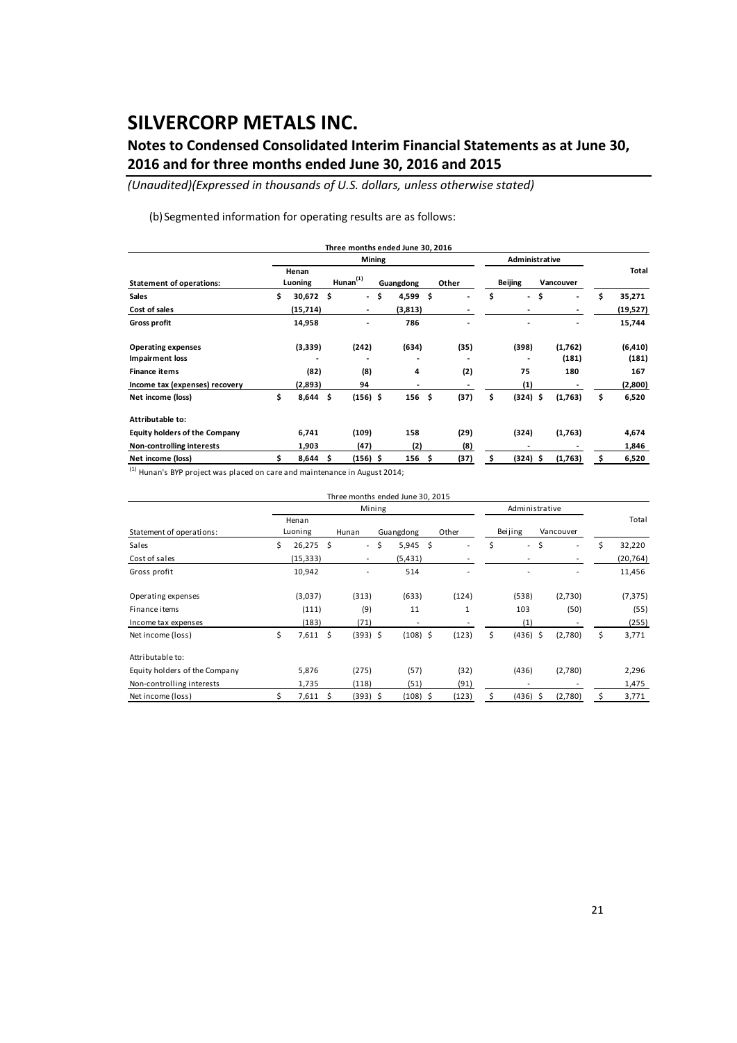### **Notes to Condensed Consolidated Interim Financial Statements as at June 30, 2016 and for three months ended June 30, 2016 and 2015**

*(Unaudited)(Expressed in thousands of U.S. dollars, unless otherwise stated)*

(b) Segmented information for operating results are as follows:

|                                      |                   |    |                |               | Three months ended June 30, 2016 |     |       |                |            |    |           |    |          |
|--------------------------------------|-------------------|----|----------------|---------------|----------------------------------|-----|-------|----------------|------------|----|-----------|----|----------|
|                                      |                   |    |                | <b>Mining</b> |                                  |     |       | Administrative |            |    |           |    |          |
| <b>Statement of operations:</b>      | Henan<br>Luoning  |    | $H$ unan $(1)$ |               | Guangdong                        |     | Other |                | Beijing    |    | Vancouver |    | Total    |
| <b>Sales</b>                         | \$<br>$30,672$ \$ |    |                | - \$          | 4,599                            | \$. |       | \$             | $\sim$     | \$ |           | \$ | 35,271   |
| Cost of sales                        | (15, 714)         |    | $\blacksquare$ |               | (3,813)                          |     |       |                |            |    |           |    | (19,527) |
| Gross profit                         | 14,958            |    | ٠              |               | 786                              |     |       |                |            |    |           |    | 15,744   |
| <b>Operating expenses</b>            | (3,339)           |    | (242)          |               | (634)                            |     | (35)  |                | (398)      |    | (1,762)   |    | (6, 410) |
| Impairment loss                      |                   |    | ٠              |               |                                  |     |       |                |            |    | (181)     |    | (181)    |
| <b>Finance items</b>                 | (82)              |    | (8)            |               | 4                                |     | (2)   |                | 75         |    | 180       |    | 167      |
| Income tax (expenses) recovery       | (2,893)           |    | 94             |               |                                  |     |       |                | (1)        |    |           |    | (2,800)  |
| Net income (loss)                    | \$<br>8,644       | \$ | $(156)$ \$     |               | 156                              | \$  | (37)  | \$             | $(324)$ \$ |    | (1,763)   | \$ | 6,520    |
| Attributable to:                     |                   |    |                |               |                                  |     |       |                |            |    |           |    |          |
| <b>Equity holders of the Company</b> | 6,741             |    | (109)          |               | 158                              |     | (29)  |                | (324)      |    | (1,763)   |    | 4,674    |
| Non-controlling interests            | 1,903             |    | (47)           |               | (2)                              |     | (8)   |                |            |    |           |    | 1,846    |
| Net income (loss)                    | 8,644             | s  | (156) \$       |               | 156                              | Ŝ   | (37)  | s              | (324) \$   |    | (1,763)   | s  | 6,520    |

 $\frac{(1)}{(1)}$  Hunan's BYP project was placed on care and maintenance in August 2014;

|                               |                   |                     | Three months ended June 30, 2015 |           |            |       |                          |                |            |           |                          |    |           |
|-------------------------------|-------------------|---------------------|----------------------------------|-----------|------------|-------|--------------------------|----------------|------------|-----------|--------------------------|----|-----------|
|                               |                   |                     | Mining                           |           |            |       |                          | Administrative |            |           |                          |    |           |
| Statement of operations:      | Henan<br>Luoning  | Hunan               |                                  | Guangdong |            | Other |                          | Beijing        |            | Vancouver |                          |    | Total     |
| Sales                         | \$<br>$26,275$ \$ |                     | $\sim$                           | \$        | 5,945      | \$    | $\overline{\phantom{a}}$ | \$             | $\sim$     | \$        | $\overline{\phantom{a}}$ | Ś. | 32,220    |
| Cost of sales                 | (15, 333)         |                     |                                  |           | (5, 431)   |       |                          |                |            |           |                          |    | (20, 764) |
| Gross profit                  | 10,942            |                     |                                  |           | 514        |       | $\overline{a}$           |                |            |           |                          |    | 11,456    |
| Operating expenses            | (3,037)           |                     | (313)                            |           | (633)      |       | (124)                    |                | (538)      |           | (2,730)                  |    | (7, 375)  |
| Finance items                 | (111)             |                     | (9)                              |           | 11         |       | 1                        |                | 103        |           | (50)                     |    | (55)      |
| Income tax expenses           | (183)             |                     | (71)                             |           | ٠          |       |                          |                | (1)        |           |                          |    | (255)     |
| Net income (loss)             | \$<br>$7,611$ \$  |                     | $(393)$ \$                       |           | $(108)$ \$ |       | (123)                    | \$             | $(436)$ \$ |           | (2,780)                  | \$ | 3,771     |
| Attributable to:              |                   |                     |                                  |           |            |       |                          |                |            |           |                          |    |           |
| Equity holders of the Company | 5,876             |                     | (275)                            |           | (57)       |       | (32)                     |                | (436)      |           | (2,780)                  |    | 2,296     |
| Non-controlling interests     | 1,735             |                     | (118)                            |           | (51)       |       | (91)                     |                |            |           |                          |    | 1,475     |
| Net income (loss)             | 7,611             | $\ddot{\mathsf{s}}$ | $(393)$ \$                       |           | $(108)$ \$ |       | (123)                    | \$             | $(436)$ \$ |           | (2,780)                  |    | 3,771     |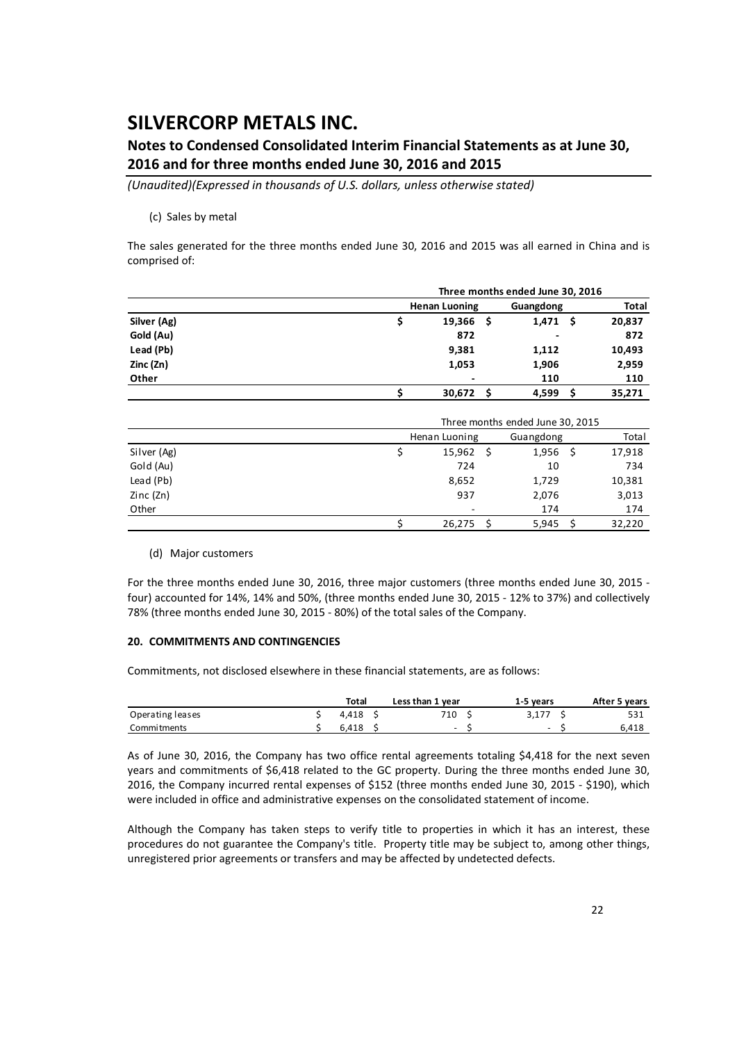### **Notes to Condensed Consolidated Interim Financial Statements as at June 30, 2016 and for three months ended June 30, 2016 and 2015**

*(Unaudited)(Expressed in thousands of U.S. dollars, unless otherwise stated)*

#### (c) Sales by metal

The sales generated for the three months ended June 30, 2016 and 2015 was all earned in China and is comprised of:

|             |                          | Three months ended June 30, 2016 |     |              |  |  |  |  |
|-------------|--------------------------|----------------------------------|-----|--------------|--|--|--|--|
|             | <b>Henan Luoning</b>     | Guangdong                        |     | <b>Total</b> |  |  |  |  |
| Silver (Ag) | 19,366<br>- S            | 1,471                            | - S | 20,837       |  |  |  |  |
| Gold (Au)   | 872                      | ٠                                |     | 872          |  |  |  |  |
| Lead (Pb)   | 9,381                    | 1,112                            |     | 10,493       |  |  |  |  |
| Zinc (Zn)   | 1,053                    | 1,906                            |     | 2,959        |  |  |  |  |
| Other       | $\overline{\phantom{0}}$ | 110                              |     | 110          |  |  |  |  |
|             | 30,672                   | 4,599                            |     | 35,271       |  |  |  |  |

|             | Three months ended June 30, 2015 |  |       |  |        |  |  |  |  |  |  |
|-------------|----------------------------------|--|-------|--|--------|--|--|--|--|--|--|
|             | Henan Luoning<br>Guangdong       |  |       |  |        |  |  |  |  |  |  |
| Silver (Ag) | 15,962                           |  | 1,956 |  | 17,918 |  |  |  |  |  |  |
| Gold (Au)   | 724                              |  | 10    |  | 734    |  |  |  |  |  |  |
| Lead (Pb)   | 8,652                            |  | 1,729 |  | 10,381 |  |  |  |  |  |  |
| Zinc(Zn)    | 937                              |  | 2,076 |  | 3,013  |  |  |  |  |  |  |
| Other       | ٠                                |  | 174   |  | 174    |  |  |  |  |  |  |
|             | 26,275                           |  | 5,945 |  | 32,220 |  |  |  |  |  |  |

#### (d) Major customers

For the three months ended June 30, 2016, three major customers (three months ended June 30, 2015 ‐ four) accounted for 14%, 14% and 50%, (three months ended June 30, 2015 ‐ 12% to 37%) and collectively 78% (three months ended June 30, 2015 ‐ 80%) of the total sales of the Company.

#### **20. COMMITMENTS AND CONTINGENCIES**

Commitments, not disclosed elsewhere in these financial statements, are as follows:

|                  | Total | Less than 1 year | 1-5 years                | After 5 years |
|------------------|-------|------------------|--------------------------|---------------|
| Operating leases | 4.418 | 710              |                          | 531           |
| Commitments      | 6.418 | -                | $\overline{\phantom{0}}$ | 6,418         |

As of June 30, 2016, the Company has two office rental agreements totaling \$4,418 for the next seven years and commitments of \$6,418 related to the GC property. During the three months ended June 30, 2016, the Company incurred rental expenses of \$152 (three months ended June 30, 2015 ‐ \$190), which were included in office and administrative expenses on the consolidated statement of income.

Although the Company has taken steps to verify title to properties in which it has an interest, these procedures do not guarantee the Company's title. Property title may be subject to, among other things, unregistered prior agreements or transfers and may be affected by undetected defects.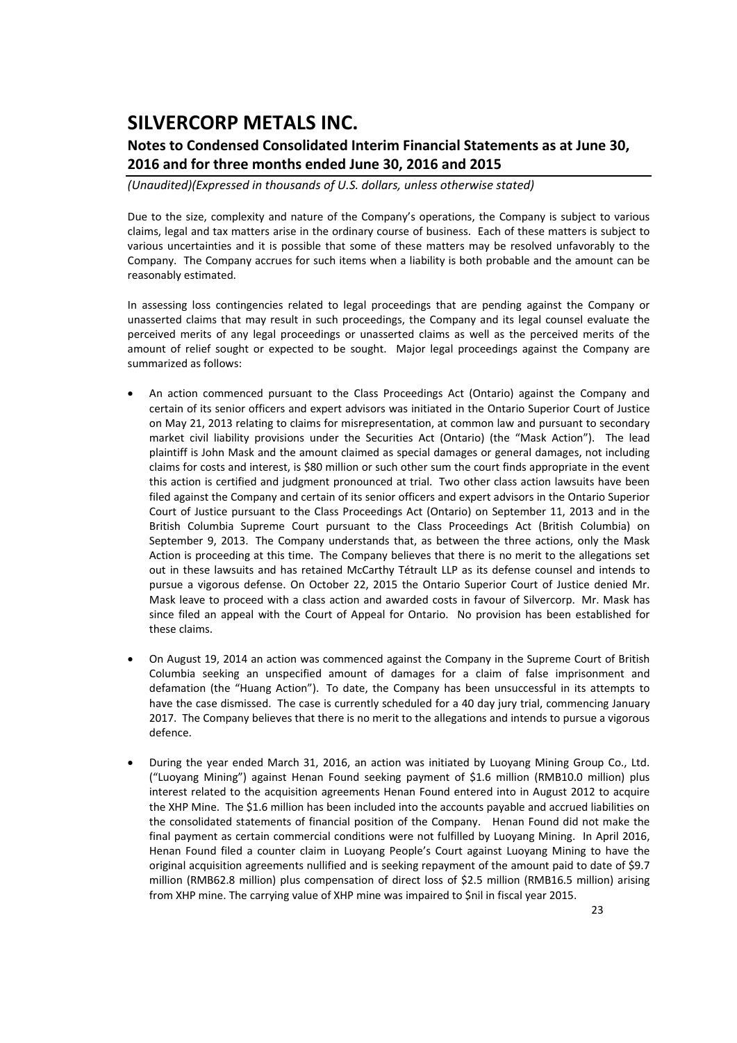### **Notes to Condensed Consolidated Interim Financial Statements as at June 30, 2016 and for three months ended June 30, 2016 and 2015**

*(Unaudited)(Expressed in thousands of U.S. dollars, unless otherwise stated)*

Due to the size, complexity and nature of the Company's operations, the Company is subject to various claims, legal and tax matters arise in the ordinary course of business. Each of these matters is subject to various uncertainties and it is possible that some of these matters may be resolved unfavorably to the Company. The Company accrues for such items when a liability is both probable and the amount can be reasonably estimated.

In assessing loss contingencies related to legal proceedings that are pending against the Company or unasserted claims that may result in such proceedings, the Company and its legal counsel evaluate the perceived merits of any legal proceedings or unasserted claims as well as the perceived merits of the amount of relief sought or expected to be sought. Major legal proceedings against the Company are summarized as follows:

- An action commenced pursuant to the Class Proceedings Act (Ontario) against the Company and certain of its senior officers and expert advisors was initiated in the Ontario Superior Court of Justice on May 21, 2013 relating to claims for misrepresentation, at common law and pursuant to secondary market civil liability provisions under the Securities Act (Ontario) (the "Mask Action"). The lead plaintiff is John Mask and the amount claimed as special damages or general damages, not including claims for costs and interest, is \$80 million or such other sum the court finds appropriate in the event this action is certified and judgment pronounced at trial. Two other class action lawsuits have been filed against the Company and certain of its senior officers and expert advisors in the Ontario Superior Court of Justice pursuant to the Class Proceedings Act (Ontario) on September 11, 2013 and in the British Columbia Supreme Court pursuant to the Class Proceedings Act (British Columbia) on September 9, 2013. The Company understands that, as between the three actions, only the Mask Action is proceeding at this time. The Company believes that there is no merit to the allegations set out in these lawsuits and has retained McCarthy Tétrault LLP as its defense counsel and intends to pursue a vigorous defense. On October 22, 2015 the Ontario Superior Court of Justice denied Mr. Mask leave to proceed with a class action and awarded costs in favour of Silvercorp. Mr. Mask has since filed an appeal with the Court of Appeal for Ontario. No provision has been established for these claims.
- On August 19, 2014 an action was commenced against the Company in the Supreme Court of British Columbia seeking an unspecified amount of damages for a claim of false imprisonment and defamation (the "Huang Action"). To date, the Company has been unsuccessful in its attempts to have the case dismissed. The case is currently scheduled for a 40 day jury trial, commencing January 2017. The Company believes that there is no merit to the allegations and intends to pursue a vigorous defence.
- During the year ended March 31, 2016, an action was initiated by Luoyang Mining Group Co., Ltd. ("Luoyang Mining") against Henan Found seeking payment of \$1.6 million (RMB10.0 million) plus interest related to the acquisition agreements Henan Found entered into in August 2012 to acquire the XHP Mine. The \$1.6 million has been included into the accounts payable and accrued liabilities on the consolidated statements of financial position of the Company. Henan Found did not make the final payment as certain commercial conditions were not fulfilled by Luoyang Mining. In April 2016, Henan Found filed a counter claim in Luoyang People's Court against Luoyang Mining to have the original acquisition agreements nullified and is seeking repayment of the amount paid to date of \$9.7 million (RMB62.8 million) plus compensation of direct loss of \$2.5 million (RMB16.5 million) arising from XHP mine. The carrying value of XHP mine was impaired to \$nil in fiscal year 2015.